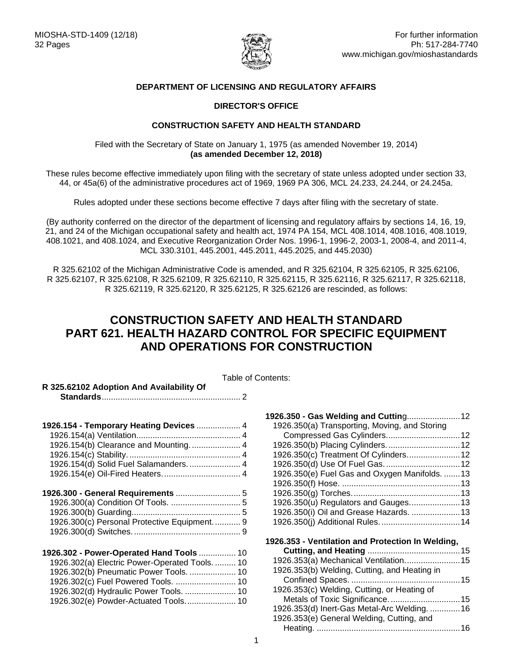

### **DEPARTMENT OF LICENSING AND REGULATORY AFFAIRS**

#### **DIRECTOR'S OFFICE**

#### **CONSTRUCTION SAFETY AND HEALTH STANDARD**

Filed with the Secretary of State on January 1, 1975 (as amended November 19, 2014) **(as amended December 12, 2018)**

These rules become effective immediately upon filing with the secretary of state unless adopted under section 33, 44, or 45a(6) of the administrative procedures act of 1969, 1969 PA 306, MCL 24.233, 24.244, or 24.245a.

Rules adopted under these sections become effective 7 days after filing with the secretary of state.

(By authority conferred on the director of the department of licensing and regulatory affairs by sections 14, 16, 19, 21, and 24 of the Michigan occupational safety and health act, 1974 PA 154, MCL 408.1014, 408.1016, 408.1019, 408.1021, and 408.1024, and Executive Reorganization Order Nos. 1996-1, 1996-2, 2003-1, 2008-4, and 2011-4, MCL 330.3101, 445.2001, 445.2011, 445.2025, and 445.2030)

R 325.62102 of the Michigan Administrative Code is amended, and R 325.62104, R 325.62105, R 325.62106, R 325.62107, R 325.62108, R 325.62109, R 325.62110, R 325.62115, R 325.62116, R 325.62117, R 325.62118, R 325.62119, R 325.62120, R 325.62125, R 325.62126 are rescinded, as follows:

# **CONSTRUCTION SAFETY AND HEALTH STANDARD PART 621. HEALTH HAZARD CONTROL FOR SPECIFIC EQUIPMENT AND OPERATIONS FOR CONSTRUCTION**

|                                                | Table of Contents: |
|------------------------------------------------|--------------------|
| R 325.62102 Adoption And Availability Of       |                    |
|                                                | 1926.3             |
| 1926.154 - Temporary Heating Devices  4        | 1926               |
|                                                | C0                 |
| 1926.154(b) Clearance and Mounting.  4         | 1926               |
|                                                | 1926               |
| 1926.154(d) Solid Fuel Salamanders.  4         | 1926               |
|                                                | 1926               |
|                                                | 1926               |
|                                                | 1926               |
|                                                | 1926               |
|                                                | 1926               |
| 1926.300(c) Personal Protective Equipment.  9  | 1926               |
|                                                |                    |
|                                                | 1926.3             |
| 1926.302 - Power-Operated Hand Tools  10       | Cι                 |
| 1926.302(a) Electric Power-Operated Tools.  10 | 1926               |
| 1926.302(b) Pneumatic Power Tools.  10         | 1926               |
| 1926.302(c) Fuel Powered Tools.  10            | C٥                 |
| 1926.302(d) Hydraulic Power Tools.  10         | 1926               |
| 1926.302(e) Powder-Actuated Tools 10           | M                  |
|                                                | 1926               |

| 1926.350(a) Transporting, Moving, and Storing     |  |
|---------------------------------------------------|--|
| Compressed Gas Cylinders 12                       |  |
| 1926.350(b) Placing Cylinders.  12                |  |
| 1926.350(c) Treatment Of Cylinders 12             |  |
|                                                   |  |
| 1926.350(e) Fuel Gas and Oxygen Manifolds.  13    |  |
|                                                   |  |
|                                                   |  |
| 1926.350(u) Regulators and Gauges 13              |  |
| 1926.350(i) Oil and Grease Hazards.  13           |  |
|                                                   |  |
| 1926.353 - Ventilation and Protection In Welding, |  |
|                                                   |  |
| 1926.353(a) Mechanical Ventilation 15             |  |
| 1926.353(b) Welding, Cutting, and Heating in      |  |
|                                                   |  |
| 1926.353(c) Welding, Cutting, or Heating of       |  |
|                                                   |  |
| 1926.353(d) Inert-Gas Metal-Arc Welding.  16      |  |
| 1926.353(e) General Welding, Cutting, and         |  |
|                                                   |  |
|                                                   |  |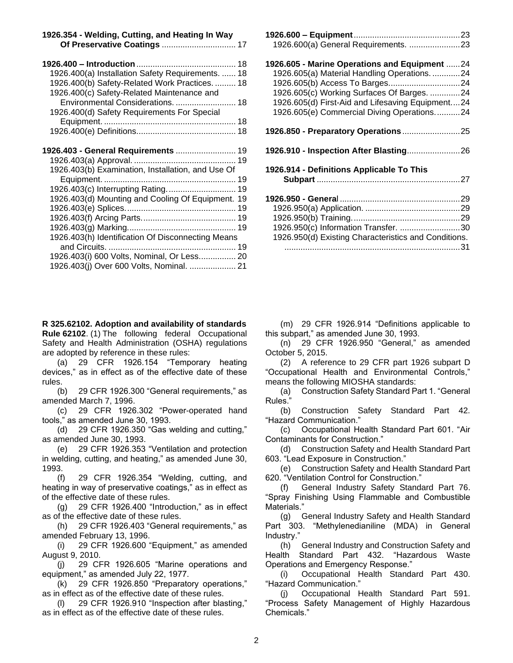| 1926.354 - Welding, Cutting, and Heating In Way |  |
|-------------------------------------------------|--|
|                                                 |  |

| 1926.400(a) Installation Safety Requirements.  18                                            |
|----------------------------------------------------------------------------------------------|
| 1926.400(b) Safety-Related Work Practices.  18<br>1926.400(c) Safety-Related Maintenance and |
| Environmental Considerations.  18<br>1926.400(d) Safety Requirements For Special             |
|                                                                                              |
|                                                                                              |
| 1926.403 - General Requirements  19                                                          |
|                                                                                              |
| 1926.403(b) Examination, Installation, and Use Of                                            |
|                                                                                              |
|                                                                                              |
| 1926.403(d) Mounting and Cooling Of Equipment. 19                                            |
|                                                                                              |
|                                                                                              |
|                                                                                              |
| 1926.403(h) Identification Of Disconnecting Means                                            |
|                                                                                              |
| 1926.403(i) 600 Volts, Nominal, Or Less 20                                                   |

<span id="page-1-0"></span>**R 325.62102. Adoption and availability of standards Rule 62102**. (1) The following federal Occupational Safety and Health Administration (OSHA) regulations are adopted by reference in these rules:

[1926.403\(j\) Over 600 Volts, Nominal.](#page-20-0) .................... 21

(a) 29 CFR 1926.154 "Temporary heating devices," as in effect as of the effective date of these rules.

(b) 29 CFR 1926.300 "General requirements," as amended March 7, 1996.

(c) 29 CFR 1926.302 "Power-operated hand tools," as amended June 30, 1993.

(d) 29 CFR 1926.350 "Gas welding and cutting," as amended June 30, 1993.

(e) 29 CFR 1926.353 "Ventilation and protection in welding, cutting, and heating," as amended June 30, 1993.

(f) 29 CFR 1926.354 "Welding, cutting, and heating in way of preservative coatings," as in effect as of the effective date of these rules.

(g) 29 CFR 1926.400 "Introduction," as in effect as of the effective date of these rules.

(h) 29 CFR 1926.403 "General requirements," as amended February 13, 1996.

(i) 29 CFR 1926.600 "Equipment," as amended August 9, 2010.

(j) 29 CFR 1926.605 "Marine operations and equipment," as amended July 22, 1977.

(k) 29 CFR 1926.850 "Preparatory operations," as in effect as of the effective date of these rules.

(l) 29 CFR 1926.910 "Inspection after blasting," as in effect as of the effective date of these rules.

| 1926.600(a) General Requirements. 23                 |  |
|------------------------------------------------------|--|
| 1926.605 - Marine Operations and Equipment 24        |  |
| 1926.605(a) Material Handling Operations. 24         |  |
|                                                      |  |
| 1926.605(c) Working Surfaces Of Barges. 24           |  |
| 1926.605(d) First-Aid and Lifesaving Equipment24     |  |
| 1926.605(e) Commercial Diving Operations24           |  |
|                                                      |  |
|                                                      |  |
| 1926.914 - Definitions Applicable To This            |  |
|                                                      |  |
|                                                      |  |
|                                                      |  |
|                                                      |  |
|                                                      |  |
| 1926.950(c) Information Transfer. 30                 |  |
| 1926.950(d) Existing Characteristics and Conditions. |  |
|                                                      |  |

**1926.600 – Equipment**[..............................................23](#page-22-0)

(m) 29 CFR 1926.914 "Definitions applicable to this subpart," as amended June 30, 1993.

(n) 29 CFR 1926.950 "General," as amended October 5, 2015.

(2) A reference to 29 CFR part 1926 subpart D "Occupational Health and Environmental Controls," means the following MIOSHA standards:

(a) Construction Safety Standard Part 1. "General Rules."

(b) Construction Safety Standard Part 42. "Hazard Communication."

(c) Occupational Health Standard Part 601. "Air Contaminants for Construction."

(d) Construction Safety and Health Standard Part 603. "Lead Exposure in Construction."

(e) Construction Safety and Health Standard Part 620. "Ventilation Control for Construction."

(f) General Industry Safety Standard Part 76. "Spray Finishing Using Flammable and Combustible Materials."

(g) General Industry Safety and Health Standard Part 303. "Methylenedianiline (MDA) in General Industry."

(h) General Industry and Construction Safety and Health Standard Part 432. "Hazardous Waste Operations and Emergency Response."

(i) Occupational Health Standard Part 430. "Hazard Communication."

(j) Occupational Health Standard Part 591. "Process Safety Management of Highly Hazardous Chemicals."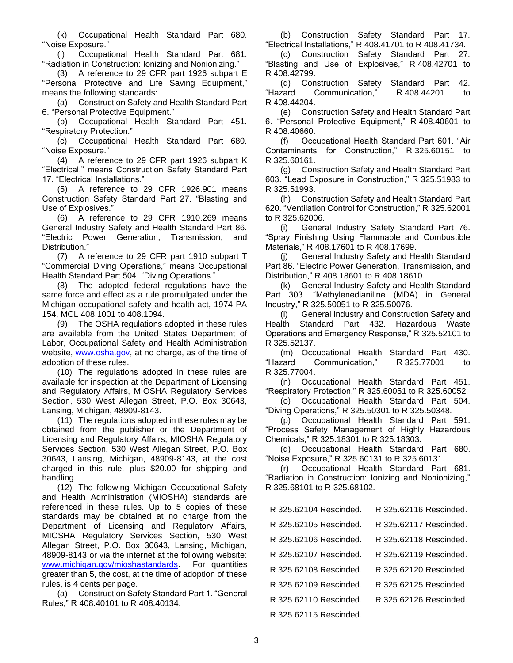(k) Occupational Health Standard Part 680. "Noise Exposure."

(l) Occupational Health Standard Part 681. "Radiation in Construction: Ionizing and Nonionizing."

(3) A reference to 29 CFR part 1926 subpart E ["Personal Protective and Life Saving Equipment,](https://www.osha.gov/laws-regs/regulations/standardnumber/1926/1926SubpartE)" means the following standards:

(a) Construction Safety and Health Standard Part 6. "Personal Protective Equipment."

(b) Occupational Health Standard Part 451. "Respiratory Protection."

(c) Occupational Health Standard Part 680. "Noise Exposure."

(4) A reference to 29 CFR part 1926 subpart K "Electrical," means Construction Safety Standard Part 17. "Electrical Installations."

(5) A reference to 29 CFR 1926.901 means Construction Safety Standard Part 27. "Blasting and Use of Explosives."

(6) A reference to 29 CFR 1910.269 means General Industry Safety and Health Standard Part 86. "Electric Power Generation, Transmission, and Distribution."

(7) A reference to 29 CFR part 1910 subpart T "Commercial Diving Operations," means Occupational Health Standard Part 504. "Diving Operations."

(8) The adopted federal regulations have the same force and effect as a rule promulgated under the Michigan occupational safety and health act, 1974 PA 154, MCL 408.1001 to 408.1094.

(9) The OSHA regulations adopted in these rules are available from the United States Department of Labor, Occupational Safety and Health Administration website, [www.osha.gov,](http://www.osha.gov/) at no charge, as of the time of adoption of these rules.

(10) The regulations adopted in these rules are available for inspection at the Department of Licensing and Regulatory Affairs, MIOSHA Regulatory Services Section, 530 West Allegan Street, P.O. Box 30643, Lansing, Michigan, 48909-8143.

(11) The regulations adopted in these rules may be obtained from the publisher or the Department of Licensing and Regulatory Affairs, MIOSHA Regulatory Services Section, 530 West Allegan Street, P.O. Box 30643, Lansing, Michigan, 48909-8143, at the cost charged in this rule, plus \$20.00 for shipping and handling.

(12) The following Michigan Occupational Safety and Health Administration (MIOSHA) standards are referenced in these rules. Up to 5 copies of these standards may be obtained at no charge from the Department of Licensing and Regulatory Affairs, MIOSHA Regulatory Services Section, 530 West Allegan Street, P.O. Box 30643, Lansing, Michigan, 48909-8143 or via the internet at the following website: [www.michigan.gov/mioshastandards.](http://www.michigan.gov/mioshastandards) For quantities greater than 5, the cost, at the time of adoption of these rules, is 4 cents per page.

(a) Construction Safety Standard Part 1. "General Rules," R 408.40101 to R 408.40134.

(b) Construction Safety Standard Part 17. "Electrical Installations," R 408.41701 to R 408.41734.

(c) Construction Safety Standard Part 27. "Blasting and Use of Explosives," R 408.42701 to R 408.42799.

(d) Construction Safety Standard Part 42. "Hazard Communication," R 408.44201 to R 408.44204.

(e) Construction Safety and Health Standard Part 6. "Personal Protective Equipment," R 408.40601 to R 408.40660.

(f) Occupational Health Standard Part 601. "Air Contaminants for Construction," R 325.60151 to R 325.60161.

(g) Construction Safety and Health Standard Part 603. "Lead Exposure in Construction," R 325.51983 to R 325.51993.

(h) Construction Safety and Health Standard Part 620. "Ventilation Control for Construction," R 325.62001 to R 325.62006.

(i) General Industry Safety Standard Part 76. "Spray Finishing Using Flammable and Combustible Materials," R 408.17601 to R 408.17699.

(j) General Industry Safety and Health Standard Part 86. "Electric Power Generation, Transmission, and Distribution," R 408.18601 to R 408.18610.

(k) General Industry Safety and Health Standard Part 303. "Methylenedianiline (MDA) in General Industry," R 325.50051 to R 325.50076.

(l) General Industry and Construction Safety and Health Standard Part 432. Hazardous Waste Operations and Emergency Response," R 325.52101 to R 325.52137.

(m) Occupational Health Standard Part 430. "Hazard Communication," R 325.77001 to R 325.77004.

(n) Occupational Health Standard Part 451. "Respiratory Protection," R 325.60051 to R 325.60052.

(o) Occupational Health Standard Part 504. "Diving Operations," R 325.50301 to R 325.50348.

(p) Occupational Health Standard Part 591. "Process Safety Management of Highly Hazardous Chemicals," R 325.18301 to R 325.18303.

(q) Occupational Health Standard Part 680. "Noise Exposure," R 325.60131 to R 325.60131.

(r) Occupational Health Standard Part 681. "Radiation in Construction: Ionizing and Nonionizing," R 325.68101 to R 325.68102.

| R 325.62104 Rescinded. | R 325.62116 Rescinded. |
|------------------------|------------------------|
| R 325.62105 Rescinded. | R 325.62117 Rescinded. |
| R 325 62106 Rescinded  | R 325.62118 Rescinded. |
| R 325 62107 Rescinded  | R 325.62119 Rescinded. |
| R 325 62108 Rescinded  | R 325 62120 Rescinded  |
| R 325.62109 Rescinded. | R 325.62125 Rescinded. |
| R 325.62110 Rescinded. | R 325.62126 Rescinded. |
| R 325.62115 Rescinded. |                        |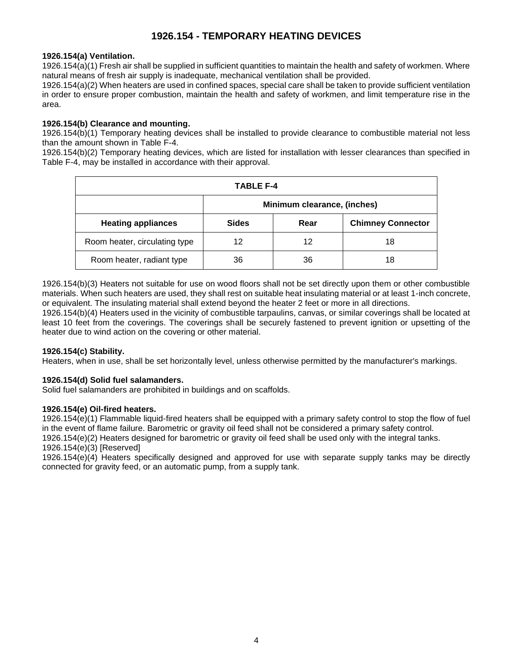# **1926.154 - TEMPORARY HEATING DEVICES**

# <span id="page-3-1"></span><span id="page-3-0"></span>**1926.154(a) Ventilation.**

1926.154(a)(1) Fresh air shall be supplied in sufficient quantities to maintain the health and safety of workmen. Where natural means of fresh air supply is inadequate, mechanical ventilation shall be provided.

1926.154(a)(2) When heaters are used in confined spaces, special care shall be taken to provide sufficient ventilation in order to ensure proper combustion, maintain the health and safety of workmen, and limit temperature rise in the area.

# <span id="page-3-2"></span>**1926.154(b) Clearance and mounting.**

1926.154(b)(1) Temporary heating devices shall be installed to provide clearance to combustible material not less than the amount shown in Table F-4.

1926.154(b)(2) Temporary heating devices, which are listed for installation with lesser clearances than specified in Table F-4, may be installed in accordance with their approval.

| TABLE F-4                     |                             |      |                          |
|-------------------------------|-----------------------------|------|--------------------------|
|                               | Minimum clearance, (inches) |      |                          |
| <b>Heating appliances</b>     | <b>Sides</b>                | Rear | <b>Chimney Connector</b> |
| Room heater, circulating type | 12                          | 12   | 18                       |
| Room heater, radiant type     | 36                          | 36   | 18                       |

1926.154(b)(3) Heaters not suitable for use on wood floors shall not be set directly upon them or other combustible materials. When such heaters are used, they shall rest on suitable heat insulating material or at least 1-inch concrete, or equivalent. The insulating material shall extend beyond the heater 2 feet or more in all directions.

1926.154(b)(4) Heaters used in the vicinity of combustible tarpaulins, canvas, or similar coverings shall be located at least 10 feet from the coverings. The coverings shall be securely fastened to prevent ignition or upsetting of the heater due to wind action on the covering or other material.

# <span id="page-3-3"></span>**1926.154(c) Stability.**

Heaters, when in use, shall be set horizontally level, unless otherwise permitted by the manufacturer's markings.

# <span id="page-3-4"></span>**1926.154(d) Solid fuel salamanders.**

Solid fuel salamanders are prohibited in buildings and on scaffolds.

# <span id="page-3-5"></span>**1926.154(e) Oil-fired heaters.**

1926.154(e)(1) Flammable liquid-fired heaters shall be equipped with a primary safety control to stop the flow of fuel in the event of flame failure. Barometric or gravity oil feed shall not be considered a primary safety control.

1926.154(e)(2) Heaters designed for barometric or gravity oil feed shall be used only with the integral tanks. 1926.154(e)(3) [Reserved]

1926.154(e)(4) Heaters specifically designed and approved for use with separate supply tanks may be directly connected for gravity feed, or an automatic pump, from a supply tank.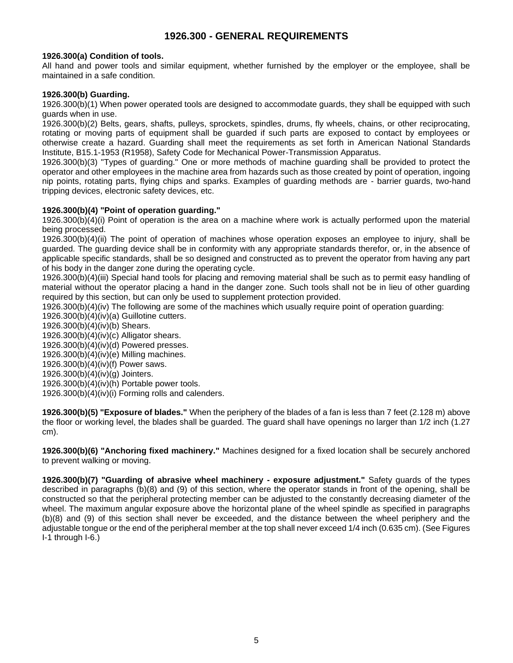# **1926.300 - GENERAL REQUIREMENTS**

### <span id="page-4-1"></span><span id="page-4-0"></span>**[1926.300\(a\) C](https://www.osha.gov/laws-regs/interlinking/standards/1926.300(a))ondition of tools.**

All hand and power tools and similar equipment, whether furnished by the employer or the employee, shall be maintained in a safe condition.

#### <span id="page-4-2"></span>**[1926.300\(b\) G](https://www.osha.gov/laws-regs/interlinking/standards/1926.300(b))uarding.**

[1926.300\(b\)\(1\) W](https://www.osha.gov/laws-regs/interlinking/standards/1926.300(b)(1))hen power operated tools are designed to accommodate guards, they shall be equipped with such guards when in use.

[1926.300\(b\)\(2\) B](https://www.osha.gov/laws-regs/interlinking/standards/1926.300(b)(2))elts, gears, shafts, pulleys, sprockets, spindles, drums, fly wheels, chains, or other reciprocating, rotating or moving parts of equipment shall be guarded if such parts are exposed to contact by employees or otherwise create a hazard. Guarding shall meet the requirements as set forth in American National Standards Institute, B15.1-1953 (R1958), Safety Code for Mechanical Power-Transmission Apparatus.

[1926.300\(b\)\(3\) "](https://www.osha.gov/laws-regs/interlinking/standards/1926.300(b)(3))Types of guarding." One or more methods of machine guarding shall be provided to protect the operator and other employees in the machine area from hazards such as those created by point of operation, ingoing nip points, rotating parts, flying chips and sparks. Examples of guarding methods are - barrier guards, two-hand tripping devices, electronic safety devices, etc.

#### **[1926.300\(b\)\(4\) "](https://www.osha.gov/laws-regs/interlinking/standards/1926.300(b)(4))Point of operation guarding."**

1926.300(b)(4)(i) Point of operation is the area on a machine where work is actually performed upon the material being processed.

1926.300(b)(4)(ii) The point of operation of machines whose operation exposes an employee to injury, shall be guarded. The guarding device shall be in conformity with any appropriate standards therefor, or, in the absence of applicable specific standards, shall be so designed and constructed as to prevent the operator from having any part of his body in the danger zone during the operating cycle.

1926.300(b)(4)(iii) Special hand tools for placing and removing material shall be such as to permit easy handling of material without the operator placing a hand in the danger zone. Such tools shall not be in lieu of other guarding required by this section, but can only be used to supplement protection provided.

1926.300(b)(4)(iv) The following are some of the machines which usually require point of operation guarding:

1926.300(b)(4)(iv)(a) Guillotine cutters.

1926.300(b)(4)(iv)(b) Shears.

1926.300(b)(4)(iv)(c) Alligator shears.

1926.300(b)(4)(iv)(d) Powered presses.

1926.300(b)(4)(iv)(e) Milling machines.

1926.300(b)(4)(iv)(f) Power saws.

1926.300(b)(4)(iv)(g) Jointers.

1926.300(b)(4)(iv)(h) Portable power tools.

1926.300(b)(4)(iv)(i) Forming rolls and calenders.

**1926.300(b)(5) "Exposure of blades."** When the periphery of the blades of a fan is less than 7 feet (2.128 m) above the floor or working level, the blades shall be guarded. The guard shall have openings no larger than 1/2 inch (1.27 cm).

**1926.300(b)(6) "Anchoring fixed machinery."** Machines designed for a fixed location shall be securely anchored to prevent walking or moving.

**1926.300(b)(7) "Guarding of abrasive wheel machinery - exposure adjustment."** Safety guards of the types described in paragraphs (b)(8) and (9) of this section, where the operator stands in front of the opening, shall be constructed so that the peripheral protecting member can be adjusted to the constantly decreasing diameter of the wheel. The maximum angular exposure above the horizontal plane of the wheel spindle as specified in paragraphs (b)(8) and (9) of this section shall never be exceeded, and the distance between the wheel periphery and the adjustable tongue or the end of the peripheral member at the top shall never exceed 1/4 inch (0.635 cm). (See Figures I-1 through I-6.)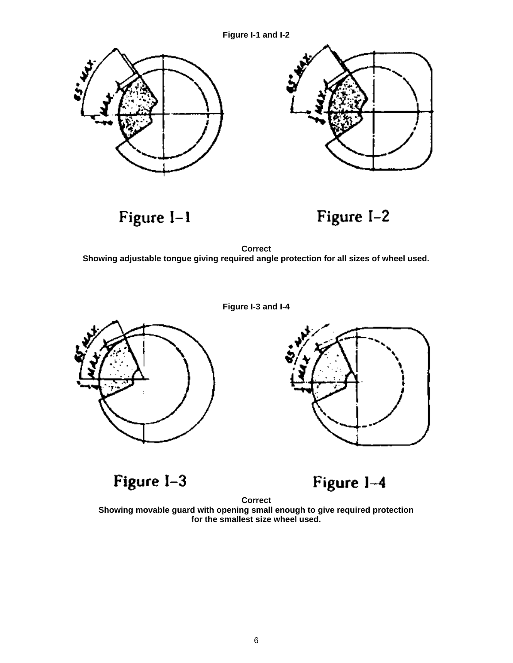**Figure I-1 and I-2**



Figure I-1



**Correct Showing adjustable tongue giving required angle protection for all sizes of wheel used.**







Figure I-3



**Correct Showing movable guard with opening small enough to give required protection for the smallest size wheel used.**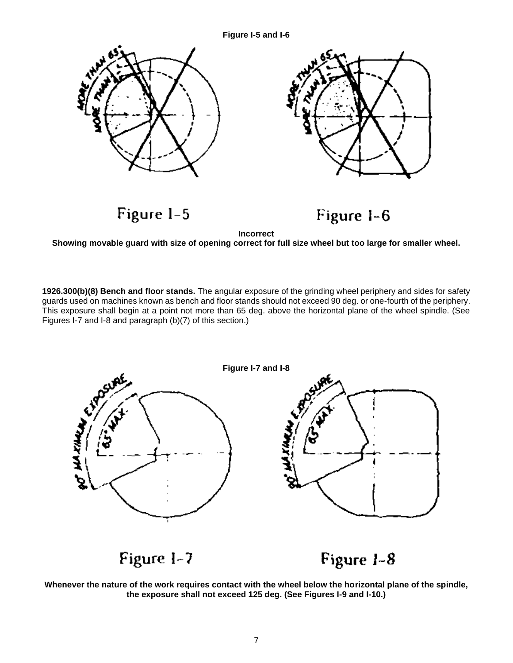#### **Figure I-5 and I-6**



**1926.300(b)(8) Bench and floor stands.** The angular exposure of the grinding wheel periphery and sides for safety guards used on machines known as bench and floor stands should not exceed 90 deg. or one-fourth of the periphery. This exposure shall begin at a point not more than 65 deg. above the horizontal plane of the wheel spindle. (See Figures I-7 and I-8 and paragraph (b)(7) of this section.)



**Whenever the nature of the work requires contact with the wheel below the horizontal plane of the spindle, the exposure shall not exceed 125 deg. (See Figures I-9 and I-10.)**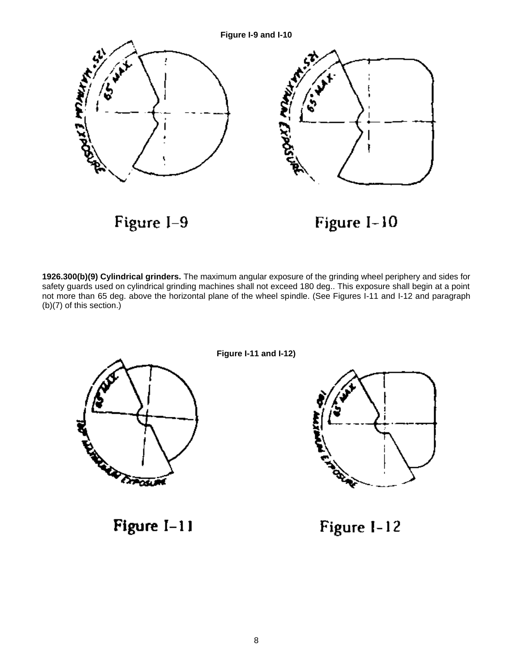

**1926.300(b)(9) Cylindrical grinders.** The maximum angular exposure of the grinding wheel periphery and sides for safety guards used on cylindrical grinding machines shall not exceed 180 deg.. This exposure shall begin at a point not more than 65 deg. above the horizontal plane of the wheel spindle. (See Figures I-11 and I-12 and paragraph (b)(7) of this section.)



**Figure I-11 and I-12)**



<span id="page-7-0"></span>Figure  $I-11$ 

Figure I-12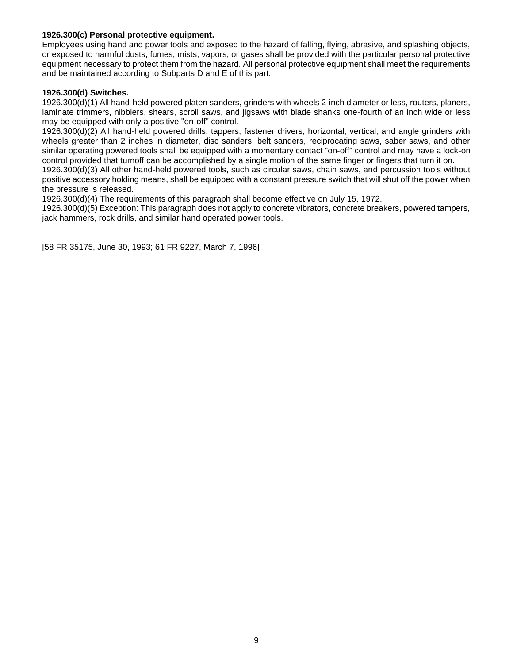#### **1926.300(c) Personal protective equipment.**

Employees using hand and power tools and exposed to the hazard of falling, flying, abrasive, and splashing objects, or exposed to harmful dusts, fumes, mists, vapors, or gases shall be provided with the particular personal protective equipment necessary to protect them from the hazard. All personal protective equipment shall meet the requirements and be maintained according to Subparts D and E of this part.

#### <span id="page-8-0"></span>**1926.300(d) Switches.**

1926.300(d)(1) All hand-held powered platen sanders, grinders with wheels 2-inch diameter or less, routers, planers, laminate trimmers, nibblers, shears, scroll saws, and jigsaws with blade shanks one-fourth of an inch wide or less may be equipped with only a positive "on-off" control.

1926.300(d)(2) All hand-held powered drills, tappers, fastener drivers, horizontal, vertical, and angle grinders with wheels greater than 2 inches in diameter, disc sanders, belt sanders, reciprocating saws, saber saws, and other similar operating powered tools shall be equipped with a momentary contact "on-off" control and may have a lock-on control provided that turnoff can be accomplished by a single motion of the same finger or fingers that turn it on.

1926.300(d)(3) All other hand-held powered tools, such as circular saws, chain saws, and percussion tools without positive accessory holding means, shall be equipped with a constant pressure switch that will shut off the power when the pressure is released.

1926.300(d)(4) The requirements of this paragraph shall become effective on July 15, 1972.

1926.300(d)(5) Exception: This paragraph does not apply to concrete vibrators, concrete breakers, powered tampers, jack hammers, rock drills, and similar hand operated power tools.

[58 FR 35175, June 30, 1993; 61 FR 9227, March 7, 1996]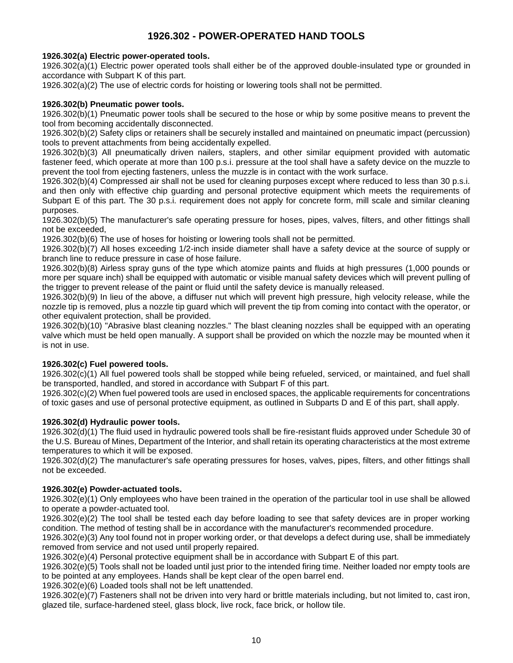# **1926.302 - POWER-OPERATED HAND TOOLS**

# <span id="page-9-1"></span><span id="page-9-0"></span>**[1926.302\(a\) E](https://www.osha.gov/laws-regs/interlinking/standards/1926.302(a))lectric power-operated tools.**

[1926.302\(a\)\(1\) E](https://www.osha.gov/laws-regs/interlinking/standards/1926.302(a)(1))lectric power operated tools shall either be of the approved double-insulated type or grounded in accordance with Subpart K of this part.

1926.302(a)(2) The use of electric cords for hoisting or lowering tools shall not be permitted.

# <span id="page-9-2"></span>**[1926.302\(b\) P](https://www.osha.gov/laws-regs/interlinking/standards/1926.302(b))neumatic power tools.**

[1926.302\(b\)\(1\) P](https://www.osha.gov/laws-regs/interlinking/standards/1926.302(b)(1))neumatic power tools shall be secured to the hose or whip by some positive means to prevent the tool from becoming accidentally disconnected.

1926.302(b)(2) Safety clips or retainers shall be securely installed and maintained on pneumatic impact (percussion) tools to prevent attachments from being accidentally expelled.

[1926.302\(b\)\(3\) A](https://www.osha.gov/laws-regs/interlinking/standards/1926.302(b)(3))ll pneumatically driven nailers, staplers, and other similar equipment provided with automatic fastener feed, which operate at more than 100 p.s.i. pressure at the tool shall have a safety device on the muzzle to prevent the tool from ejecting fasteners, unless the muzzle is in contact with the work surface.

[1926.302\(b\)\(4\) C](https://www.osha.gov/laws-regs/interlinking/standards/1926.302(b)(4))ompressed air shall not be used for cleaning purposes except where reduced to less than 30 p.s.i. and then only with effective chip guarding and personal protective equipment which meets the requirements of Subpart E of this part. The 30 p.s.i. requirement does not apply for concrete form, mill scale and similar cleaning purposes.

[1926.302\(b\)\(5\) T](https://www.osha.gov/laws-regs/interlinking/standards/1926.302(b)(5))he manufacturer's safe operating pressure for hoses, pipes, valves, filters, and other fittings shall not be exceeded,

1926.302(b)(6) The use of hoses for hoisting or lowering tools shall not be permitted.

[1926.302\(b\)\(7\) A](https://www.osha.gov/laws-regs/interlinking/standards/1926.302(b)(7))ll hoses exceeding 1/2-inch inside diameter shall have a safety device at the source of supply or branch line to reduce pressure in case of hose failure.

1926.302(b)(8) Airless spray guns of the type which atomize paints and fluids at high pressures (1,000 pounds or more per square inch) shall be equipped with automatic or visible manual safety devices which will prevent pulling of the trigger to prevent release of the paint or fluid until the safety device is manually released.

1926.302(b)(9) In lieu of the above, a diffuser nut which will prevent high pressure, high velocity release, while the nozzle tip is removed, plus a nozzle tip guard which will prevent the tip from coming into contact with the operator, or other equivalent protection, shall be provided.

[1926.302\(b\)\(10\) "](https://www.osha.gov/laws-regs/interlinking/standards/1926.302(b)(10))Abrasive blast cleaning nozzles." The blast cleaning nozzles shall be equipped with an operating valve which must be held open manually. A support shall be provided on which the nozzle may be mounted when it is not in use.

# <span id="page-9-3"></span>**[1926.302\(c\) F](https://www.osha.gov/laws-regs/interlinking/standards/1926.302(c))uel powered tools.**

1926.302(c)(1) All fuel powered tools shall be stopped while being refueled, serviced, or maintained, and fuel shall be transported, handled, and stored in accordance with Subpart F of this part.

1926.302(c)(2) When fuel powered tools are used in enclosed spaces, the applicable requirements for concentrations of toxic gases and use of personal protective equipment, as outlined in Subparts D and E of this part, shall apply.

# <span id="page-9-4"></span>**1926.302(d) Hydraulic power tools.**

1926.302(d)(1) The fluid used in hydraulic powered tools shall be fire-resistant fluids approved under Schedule 30 of the U.S. Bureau of Mines, Department of the Interior, and shall retain its operating characteristics at the most extreme temperatures to which it will be exposed.

1926.302(d)(2) The manufacturer's safe operating pressures for hoses, valves, pipes, filters, and other fittings shall not be exceeded.

# <span id="page-9-5"></span>**[1926.302\(e\) P](https://www.osha.gov/laws-regs/interlinking/standards/1926.302(e))owder-actuated tools.**

[1926.302\(e\)\(1\) O](https://www.osha.gov/laws-regs/interlinking/standards/1926.302(e)(1))nly employees who have been trained in the operation of the particular tool in use shall be allowed to operate a powder-actuated tool.

1926.302(e)(2) The tool shall be tested each day before loading to see that safety devices are in proper working condition. The method of testing shall be in accordance with the manufacturer's recommended procedure.

1926.302(e)(3) Any tool found not in proper working order, or that develops a defect during use, shall be immediately removed from service and not used until properly repaired.

1926.302(e)(4) Personal protective equipment shall be in accordance with Subpart E of this part.

[1926.302\(e\)\(5\) T](https://www.osha.gov/laws-regs/interlinking/standards/1926.302(e)(5))ools shall not be loaded until just prior to the intended firing time. Neither loaded nor empty tools are to be pointed at any employees. Hands shall be kept clear of the open barrel end.

[1926.302\(e\)\(6\) L](https://www.osha.gov/laws-regs/interlinking/standards/1926.302(e)(6))oaded tools shall not be left unattended.

[1926.302\(e\)\(7\) F](https://www.osha.gov/laws-regs/interlinking/standards/1926.302(e)(7))asteners shall not be driven into very hard or brittle materials including, but not limited to, cast iron, glazed tile, surface-hardened steel, glass block, live rock, face brick, or hollow tile.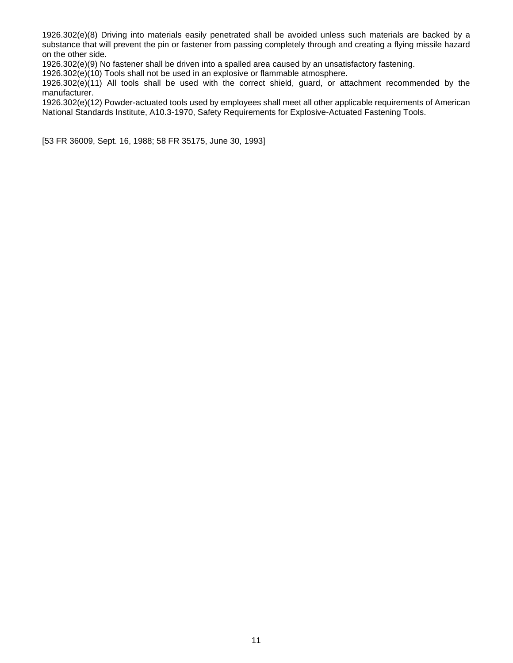1926.302(e)(8) Driving into materials easily penetrated shall be avoided unless such materials are backed by a substance that will prevent the pin or fastener from passing completely through and creating a flying missile hazard on the other side.

1926.302(e)(9) No fastener shall be driven into a spalled area caused by an unsatisfactory fastening.

1926.302(e)(10) Tools shall not be used in an explosive or flammable atmosphere.

1926.302(e)(11) All tools shall be used with the correct shield, guard, or attachment recommended by the manufacturer.

1926.302(e)(12) Powder-actuated tools used by employees shall meet all other applicable requirements of American National Standards Institute, A10.3-1970, Safety Requirements for Explosive-Actuated Fastening Tools.

[53 FR 36009, Sept. 16, 1988; 58 FR 35175, June 30, 1993]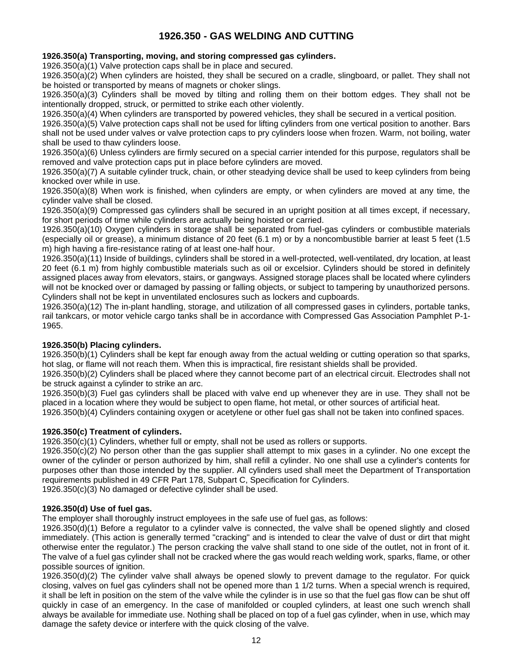# **1926.350 - GAS WELDING AND CUTTING**

# <span id="page-11-1"></span><span id="page-11-0"></span>**[1926.350\(a\) T](https://www.osha.gov/laws-regs/interlinking/standards/1926.350(a))ransporting, moving, and storing compressed gas cylinders.**

[1926.350\(a\)\(1\) V](https://www.osha.gov/laws-regs/interlinking/standards/1926.350(a)(1))alve protection caps shall be in place and secured.

[1926.350\(a\)\(2\) W](https://www.osha.gov/laws-regs/interlinking/standards/1926.350(a)(2))hen cylinders are hoisted, they shall be secured on a cradle, slingboard, or pallet. They shall not be hoisted or transported by means of magnets or choker slings.

1926.350(a)(3) Cylinders shall be moved by tilting and rolling them on their bottom edges. They shall not be intentionally dropped, struck, or permitted to strike each other violently.

[1926.350\(a\)\(4\) W](https://www.osha.gov/laws-regs/interlinking/standards/1926.350(a)(4))hen cylinders are transported by powered vehicles, they shall be secured in a vertical position.

1926.350(a)(5) Valve protection caps shall not be used for lifting cylinders from one vertical position to another. Bars shall not be used under valves or valve protection caps to pry cylinders loose when frozen. Warm, not boiling, water shall be used to thaw cylinders loose.

[1926.350\(a\)\(6\) U](https://www.osha.gov/laws-regs/interlinking/standards/1926.350(a)(6))nless cylinders are firmly secured on a special carrier intended for this purpose, regulators shall be removed and valve protection caps put in place before cylinders are moved.

[1926.350\(a\)\(7\) A](https://www.osha.gov/laws-regs/interlinking/standards/1926.350(a)(7)) suitable cylinder truck, chain, or other steadying device shall be used to keep cylinders from being knocked over while in use.

1926.350(a)(8) When work is finished, when cylinders are empty, or when cylinders are moved at any time, the cylinder valve shall be closed.

[1926.350\(a\)\(9\) C](https://www.osha.gov/laws-regs/interlinking/standards/1926.350(a)(9))ompressed gas cylinders shall be secured in an upright position at all times except, if necessary, for short periods of time while cylinders are actually being hoisted or carried.

[1926.350\(a\)\(10\) O](https://www.osha.gov/laws-regs/interlinking/standards/1926.350(a)(10))xygen cylinders in storage shall be separated from fuel-gas cylinders or combustible materials (especially oil or grease), a minimum distance of 20 feet (6.1 m) or by a noncombustible barrier at least 5 feet (1.5 m) high having a fire-resistance rating of at least one-half hour.

[1926.350\(a\)\(11\) I](https://www.osha.gov/laws-regs/interlinking/standards/1926.350(a)(11))nside of buildings, cylinders shall be stored in a well-protected, well-ventilated, dry location, at least 20 feet (6.1 m) from highly combustible materials such as oil or excelsior. Cylinders should be stored in definitely assigned places away from elevators, stairs, or gangways. Assigned storage places shall be located where cylinders will not be knocked over or damaged by passing or falling objects, or subject to tampering by unauthorized persons. Cylinders shall not be kept in unventilated enclosures such as lockers and cupboards.

[1926.350\(a\)\(12\) T](https://www.osha.gov/laws-regs/interlinking/standards/1926.350(a)(12))he in-plant handling, storage, and utilization of all compressed gases in cylinders, portable tanks, rail tankcars, or motor vehicle cargo tanks shall be in accordance with Compressed Gas Association Pamphlet P-1- 1965.

# <span id="page-11-2"></span>**1926.350(b) Placing cylinders.**

1926.350(b)(1) Cylinders shall be kept far enough away from the actual welding or cutting operation so that sparks, hot slag, or flame will not reach them. When this is impractical, fire resistant shields shall be provided.

1926.350(b)(2) Cylinders shall be placed where they cannot become part of an electrical circuit. Electrodes shall not be struck against a cylinder to strike an arc.

1926.350(b)(3) Fuel gas cylinders shall be placed with valve end up whenever they are in use. They shall not be placed in a location where they would be subject to open flame, hot metal, or other sources of artificial heat.

1926.350(b)(4) Cylinders containing oxygen or acetylene or other fuel gas shall not be taken into confined spaces.

#### <span id="page-11-3"></span>**1926.350(c) Treatment of cylinders.**

1926.350(c)(1) Cylinders, whether full or empty, shall not be used as rollers or supports.

[1926.350\(c\)\(2\) N](https://www.osha.gov/laws-regs/interlinking/standards/1926.350(c)(2))o person other than the gas supplier shall attempt to mix gases in a cylinder. No one except the owner of the cylinder or person authorized by him, shall refill a cylinder. No one shall use a cylinder's contents for purposes other than those intended by the supplier. All cylinders used shall meet the Department of Transportation requirements published in 49 CFR Part 178, Subpart C, Specification for Cylinders.

[1926.350\(c\)\(3\) N](https://www.osha.gov/laws-regs/interlinking/standards/1926.350(c)(3))o damaged or defective cylinder shall be used.

#### <span id="page-11-4"></span>**1926.350(d) Use of fuel gas.**

The employer shall thoroughly instruct employees in the safe use of fuel gas, as follows:

1926.350(d)(1) Before a regulator to a cylinder valve is connected, the valve shall be opened slightly and closed immediately. (This action is generally termed "cracking" and is intended to clear the valve of dust or dirt that might otherwise enter the regulator.) The person cracking the valve shall stand to one side of the outlet, not in front of it. The valve of a fuel gas cylinder shall not be cracked where the gas would reach welding work, sparks, flame, or other possible sources of ignition.

1926.350(d)(2) The cylinder valve shall always be opened slowly to prevent damage to the regulator. For quick closing, valves on fuel gas cylinders shall not be opened more than 1 1/2 turns. When a special wrench is required, it shall be left in position on the stem of the valve while the cylinder is in use so that the fuel gas flow can be shut off quickly in case of an emergency. In the case of manifolded or coupled cylinders, at least one such wrench shall always be available for immediate use. Nothing shall be placed on top of a fuel gas cylinder, when in use, which may damage the safety device or interfere with the quick closing of the valve.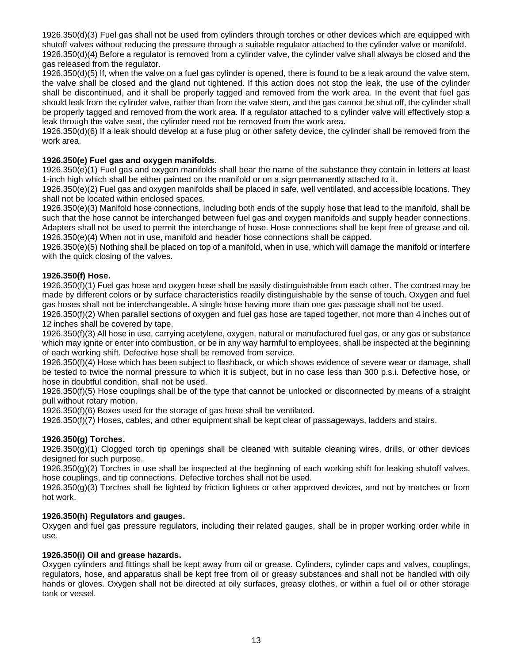1926.350(d)(3) Fuel gas shall not be used from cylinders through torches or other devices which are equipped with shutoff valves without reducing the pressure through a suitable regulator attached to the cylinder valve or manifold. 1926.350(d)(4) Before a regulator is removed from a cylinder valve, the cylinder valve shall always be closed and the gas released from the regulator.

1926.350(d)(5) If, when the valve on a fuel gas cylinder is opened, there is found to be a leak around the valve stem, the valve shall be closed and the gland nut tightened. If this action does not stop the leak, the use of the cylinder shall be discontinued, and it shall be properly tagged and removed from the work area. In the event that fuel gas should leak from the cylinder valve, rather than from the valve stem, and the gas cannot be shut off, the cylinder shall be properly tagged and removed from the work area. If a regulator attached to a cylinder valve will effectively stop a leak through the valve seat, the cylinder need not be removed from the work area.

1926.350(d)(6) If a leak should develop at a fuse plug or other safety device, the cylinder shall be removed from the work area.

# <span id="page-12-0"></span>**1926.350(e) Fuel gas and oxygen manifolds.**

1926.350(e)(1) Fuel gas and oxygen manifolds shall bear the name of the substance they contain in letters at least 1-inch high which shall be either painted on the manifold or on a sign permanently attached to it.

1926.350(e)(2) Fuel gas and oxygen manifolds shall be placed in safe, well ventilated, and accessible locations. They shall not be located within enclosed spaces.

1926.350(e)(3) Manifold hose connections, including both ends of the supply hose that lead to the manifold, shall be such that the hose cannot be interchanged between fuel gas and oxygen manifolds and supply header connections. Adapters shall not be used to permit the interchange of hose. Hose connections shall be kept free of grease and oil. 1926.350(e)(4) When not in use, manifold and header hose connections shall be capped.

1926.350(e)(5) Nothing shall be placed on top of a manifold, when in use, which will damage the manifold or interfere with the quick closing of the valves.

#### <span id="page-12-1"></span>**1926.350(f) Hose.**

1926.350(f)(1) Fuel gas hose and oxygen hose shall be easily distinguishable from each other. The contrast may be made by different colors or by surface characteristics readily distinguishable by the sense of touch. Oxygen and fuel gas hoses shall not be interchangeable. A single hose having more than one gas passage shall not be used.

1926.350(f)(2) When parallel sections of oxygen and fuel gas hose are taped together, not more than 4 inches out of 12 inches shall be covered by tape.

1926.350(f)(3) All hose in use, carrying acetylene, oxygen, natural or manufactured fuel gas, or any gas or substance which may ignite or enter into combustion, or be in any way harmful to employees, shall be inspected at the beginning of each working shift. Defective hose shall be removed from service.

1926.350(f)(4) Hose which has been subject to flashback, or which shows evidence of severe wear or damage, shall be tested to twice the normal pressure to which it is subject, but in no case less than 300 p.s.i. Defective hose, or hose in doubtful condition, shall not be used.

1926.350(f)(5) Hose couplings shall be of the type that cannot be unlocked or disconnected by means of a straight pull without rotary motion.

1926.350(f)(6) Boxes used for the storage of gas hose shall be ventilated.

1926.350(f)(7) Hoses, cables, and other equipment shall be kept clear of passageways, ladders and stairs.

# <span id="page-12-2"></span>**1926.350(g) Torches.**

1926.350(g)(1) Clogged torch tip openings shall be cleaned with suitable cleaning wires, drills, or other devices designed for such purpose.

1926.350(g)(2) Torches in use shall be inspected at the beginning of each working shift for leaking shutoff valves, hose couplings, and tip connections. Defective torches shall not be used.

1926.350(g)(3) Torches shall be lighted by friction lighters or other approved devices, and not by matches or from hot work.

# <span id="page-12-3"></span>**1926.350(h) Regulators and gauges.**

Oxygen and fuel gas pressure regulators, including their related gauges, shall be in proper working order while in use.

#### <span id="page-12-4"></span>**1926.350(i) Oil and grease hazards.**

Oxygen cylinders and fittings shall be kept away from oil or grease. Cylinders, cylinder caps and valves, couplings, regulators, hose, and apparatus shall be kept free from oil or greasy substances and shall not be handled with oily hands or gloves. Oxygen shall not be directed at oily surfaces, greasy clothes, or within a fuel oil or other storage tank or vessel.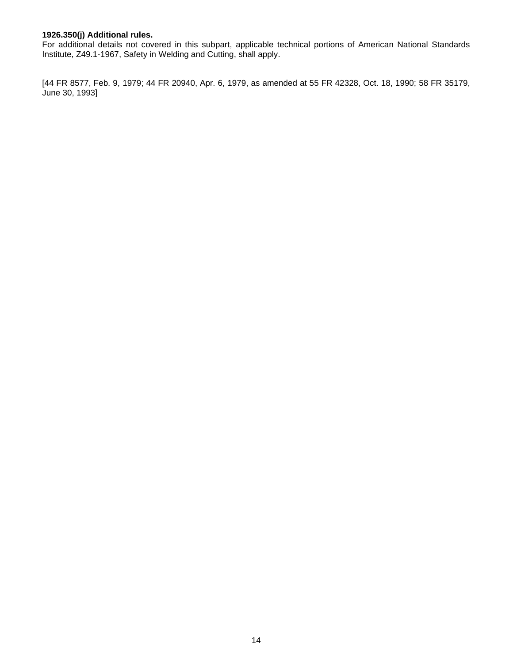### <span id="page-13-0"></span>**1926.350(j) Additional rules.**

For additional details not covered in this subpart, applicable technical portions of American National Standards Institute, Z49.1-1967, Safety in Welding and Cutting, shall apply.

[44 FR 8577, Feb. 9, 1979; 44 FR 20940, Apr. 6, 1979, as amended at 55 FR 42328, Oct. 18, 1990; 58 FR 35179, June 30, 1993]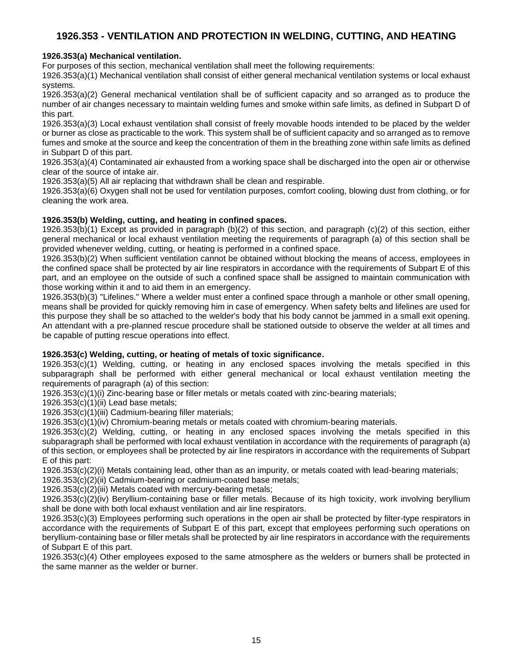# <span id="page-14-0"></span>**1926.353 - VENTILATION AND PROTECTION IN WELDING, CUTTING, AND HEATING**

# <span id="page-14-1"></span>**1926.353(a) Mechanical ventilation.**

For purposes of this section, mechanical ventilation shall meet the following requirements:

1926.353(a)(1) Mechanical ventilation shall consist of either general mechanical ventilation systems or local exhaust systems.

1926.353(a)(2) General mechanical ventilation shall be of sufficient capacity and so arranged as to produce the number of air changes necessary to maintain welding fumes and smoke within safe limits, as defined in Subpart D of this part.

1926.353(a)(3) Local exhaust ventilation shall consist of freely movable hoods intended to be placed by the welder or burner as close as practicable to the work. This system shall be of sufficient capacity and so arranged as to remove fumes and smoke at the source and keep the concentration of them in the breathing zone within safe limits as defined in Subpart D of this part.

1926.353(a)(4) Contaminated air exhausted from a working space shall be discharged into the open air or otherwise clear of the source of intake air.

1926.353(a)(5) All air replacing that withdrawn shall be clean and respirable.

1926.353(a)(6) Oxygen shall not be used for ventilation purposes, comfort cooling, blowing dust from clothing, or for cleaning the work area.

# <span id="page-14-2"></span>**[1926.353\(b\) W](https://www.osha.gov/laws-regs/interlinking/standards/1926.353(b))elding, cutting, and heating in confined spaces.**

[1926.353\(b\)\(1\) E](https://www.osha.gov/laws-regs/interlinking/standards/1926.353(b)(1))xcept as provided in paragraph (b)(2) of this section, and paragraph (c)(2) of this section, either general mechanical or local exhaust ventilation meeting the requirements of paragraph (a) of this section shall be provided whenever welding, cutting, or heating is performed in a confined space.

[1926.353\(b\)\(2\) W](https://www.osha.gov/laws-regs/interlinking/standards/1926.353(b)(2))hen sufficient ventilation cannot be obtained without blocking the means of access, employees in the confined space shall be protected by air line respirators in accordance with the requirements of Subpart E of this part, and an employee on the outside of such a confined space shall be assigned to maintain communication with those working within it and to aid them in an emergency.

1926.353(b)(3) "Lifelines." Where a welder must enter a confined space through a manhole or other small opening, means shall be provided for quickly removing him in case of emergency. When safety belts and lifelines are used for this purpose they shall be so attached to the welder's body that his body cannot be jammed in a small exit opening. An attendant with a pre-planned rescue procedure shall be stationed outside to observe the welder at all times and be capable of putting rescue operations into effect.

# <span id="page-14-3"></span>**1926.353(c) Welding, cutting, or heating of metals of toxic significance.**

1926.353(c)(1) Welding, cutting, or heating in any enclosed spaces involving the metals specified in this subparagraph shall be performed with either general mechanical or local exhaust ventilation meeting the requirements of paragraph (a) of this section:

1926.353(c)(1)(i) Zinc-bearing base or filler metals or metals coated with zinc-bearing materials;

1926.353(c)(1)(ii) Lead base metals;

1926.353(c)(1)(iii) Cadmium-bearing filler materials;

1926.353(c)(1)(iv) Chromium-bearing metals or metals coated with chromium-bearing materials.

1926.353(c)(2) Welding, cutting, or heating in any enclosed spaces involving the metals specified in this subparagraph shall be performed with local exhaust ventilation in accordance with the requirements of paragraph (a) of this section, or employees shall be protected by air line respirators in accordance with the requirements of Subpart E of this part:

[1926.353\(c\)\(2\)\(i\) M](https://www.osha.gov/laws-regs/interlinking/standards/1926.353(c)(2)(i))etals containing lead, other than as an impurity, or metals coated with lead-bearing materials;

1926.353(c)(2)(ii) Cadmium-bearing or cadmium-coated base metals;

1926.353(c)(2)(iii) Metals coated with mercury-bearing metals;

1926.353(c)(2)(iv) Beryllium-containing base or filler metals. Because of its high toxicity, work involving beryllium shall be done with both local exhaust ventilation and air line respirators.

1926.353(c)(3) Employees performing such operations in the open air shall be protected by filter-type respirators in accordance with the requirements of Subpart E of this part, except that employees performing such operations on beryllium-containing base or filler metals shall be protected by air line respirators in accordance with the requirements of Subpart E of this part.

1926.353(c)(4) Other employees exposed to the same atmosphere as the welders or burners shall be protected in the same manner as the welder or burner.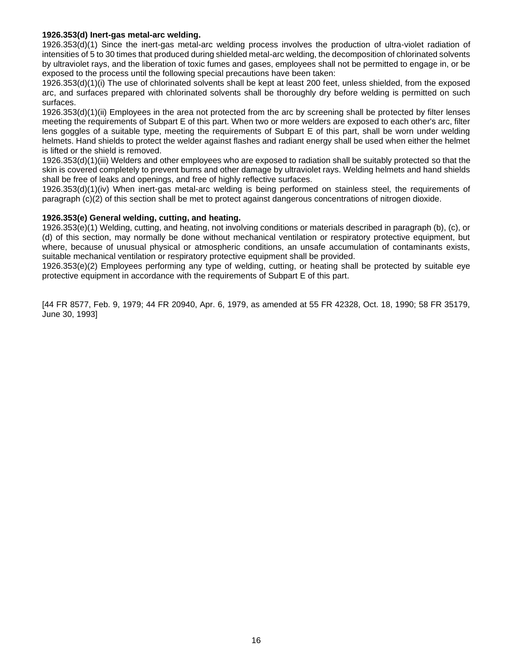#### <span id="page-15-0"></span>**1926.353(d) Inert-gas metal-arc welding.**

1926.353(d)(1) Since the inert-gas metal-arc welding process involves the production of ultra-violet radiation of intensities of 5 to 30 times that produced during shielded metal-arc welding, the decomposition of chlorinated solvents by ultraviolet rays, and the liberation of toxic fumes and gases, employees shall not be permitted to engage in, or be exposed to the process until the following special precautions have been taken:

1926.353(d)(1)(i) The use of chlorinated solvents shall be kept at least 200 feet, unless shielded, from the exposed arc, and surfaces prepared with chlorinated solvents shall be thoroughly dry before welding is permitted on such surfaces.

1926.353(d)(1)(ii) Employees in the area not protected from the arc by screening shall be protected by filter lenses meeting the requirements of Subpart E of this part. When two or more welders are exposed to each other's arc, filter lens goggles of a suitable type, meeting the requirements of Subpart E of this part, shall be worn under welding helmets. Hand shields to protect the welder against flashes and radiant energy shall be used when either the helmet is lifted or the shield is removed.

1926.353(d)(1)(iii) Welders and other employees who are exposed to radiation shall be suitably protected so that the skin is covered completely to prevent burns and other damage by ultraviolet rays. Welding helmets and hand shields shall be free of leaks and openings, and free of highly reflective surfaces.

1926.353(d)(1)(iv) When inert-gas metal-arc welding is being performed on stainless steel, the requirements of paragraph (c)(2) of this section shall be met to protect against dangerous concentrations of nitrogen dioxide.

#### <span id="page-15-1"></span>**1926.353(e) General welding, cutting, and heating.**

1926.353(e)(1) Welding, cutting, and heating, not involving conditions or materials described in paragraph (b), (c), or (d) of this section, may normally be done without mechanical ventilation or respiratory protective equipment, but where, because of unusual physical or atmospheric conditions, an unsafe accumulation of contaminants exists, suitable mechanical ventilation or respiratory protective equipment shall be provided.

1926.353(e)(2) Employees performing any type of welding, cutting, or heating shall be protected by suitable eye protective equipment in accordance with the requirements of Subpart E of this part.

[44 FR 8577, Feb. 9, 1979; 44 FR 20940, Apr. 6, 1979, as amended at 55 FR 42328, Oct. 18, 1990; 58 FR 35179, June 30, 1993]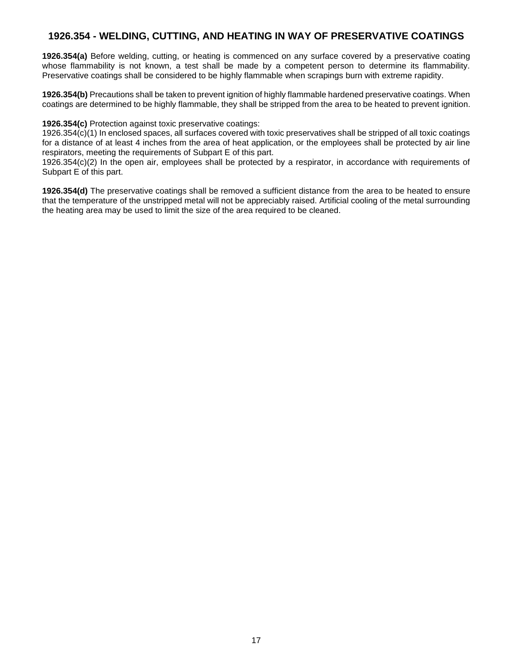# <span id="page-16-0"></span>**1926.354 - WELDING, CUTTING, AND HEATING IN WAY OF PRESERVATIVE COATINGS**

**1926.354(a)** Before welding, cutting, or heating is commenced on any surface covered by a preservative coating whose flammability is not known, a test shall be made by a competent person to determine its flammability. Preservative coatings shall be considered to be highly flammable when scrapings burn with extreme rapidity.

**1926.354(b)** Precautions shall be taken to prevent ignition of highly flammable hardened preservative coatings. When coatings are determined to be highly flammable, they shall be stripped from the area to be heated to prevent ignition.

#### **1926.354(c)** Protection against toxic preservative coatings:

[1926.354\(c\)\(1\) I](https://www.osha.gov/laws-regs/interlinking/standards/1926.354(c)(1))n enclosed spaces, all surfaces covered with toxic preservatives shall be stripped of all toxic coatings for a distance of at least 4 inches from the area of heat application, or the employees shall be protected by air line respirators, meeting the requirements of Subpart E of this part.

1926.354(c)(2) In the open air, employees shall be protected by a respirator, in accordance with requirements of Subpart E of this part.

**1926.354(d)** The preservative coatings shall be removed a sufficient distance from the area to be heated to ensure that the temperature of the unstripped metal will not be appreciably raised. Artificial cooling of the metal surrounding the heating area may be used to limit the size of the area required to be cleaned.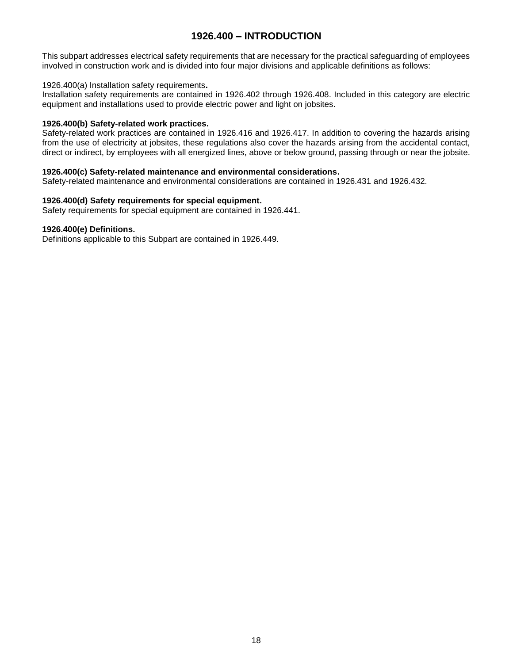# **1926.400 – INTRODUCTION**

<span id="page-17-0"></span>This subpart addresses electrical safety requirements that are necessary for the practical safeguarding of employees involved in construction work and is divided into four major divisions and applicable definitions as follows:

#### <span id="page-17-1"></span>1926.400(a) Installation safety requirements**.**

Installation safety requirements are contained in 1926.402 through 1926.408. Included in this category are electric equipment and installations used to provide electric power and light on jobsites.

#### <span id="page-17-2"></span>**[1926.400\(b\) S](https://www.osha.gov/laws-regs/interlinking/standards/1926.400(b))afety-related work practices.**

Safety-related work practices are contained in 1926.416 and 1926.417. In addition to covering the hazards arising from the use of electricity at jobsites, these regulations also cover the hazards arising from the accidental contact, direct or indirect, by employees with all energized lines, above or below ground, passing through or near the jobsite.

#### <span id="page-17-3"></span>**1926.400(c) Safety-related maintenance and environmental considerations.**

Safety-related maintenance and environmental considerations are contained in 1926.431 and 1926.432.

#### <span id="page-17-4"></span>**1926.400(d) Safety requirements for special equipment.**

Safety requirements for special equipment are contained in 1926.441.

#### <span id="page-17-5"></span>**1926.400(e) Definitions.**

Definitions applicable to this Subpart are contained in 1926.449.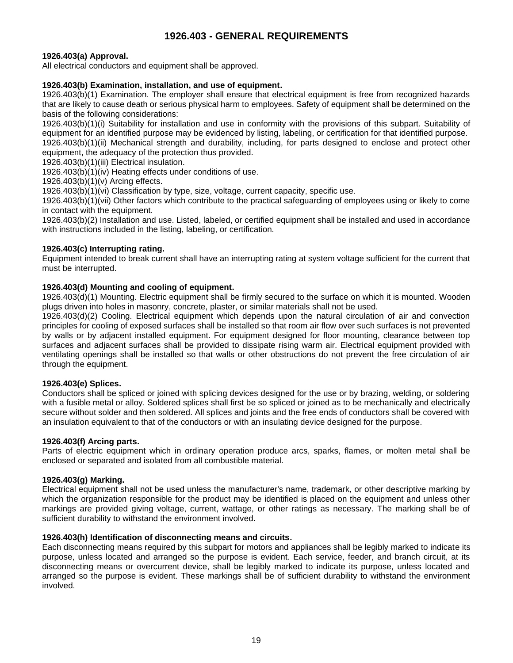# **1926.403 - GENERAL REQUIREMENTS**

#### <span id="page-18-1"></span><span id="page-18-0"></span>**[1926.403\(a\) A](https://www.osha.gov/laws-regs/interlinking/standards/1926.403(a))pproval.**

All electrical conductors and equipment shall be approved.

#### <span id="page-18-2"></span>**1926.403(b) Examination, installation, and use of equipment.**

[1926.403\(b\)\(1\) E](https://www.osha.gov/laws-regs/interlinking/standards/1926.403(b)(1))xamination. The employer shall ensure that electrical equipment is free from recognized hazards that are likely to cause death or serious physical harm to employees. Safety of equipment shall be determined on the basis of the following considerations:

[1926.403\(b\)\(1\)\(i\) S](https://www.osha.gov/laws-regs/interlinking/standards/1926.403(b)(1)(i))uitability for installation and use in conformity with the provisions of this subpart. Suitability of equipment for an identified purpose may be evidenced by listing, labeling, or certification for that identified purpose.

1926.403(b)(1)(ii) Mechanical strength and durability, including, for parts designed to enclose and protect other equipment, the adequacy of the protection thus provided.

1926.403(b)(1)(iii) Electrical insulation.

1926.403(b)(1)(iv) Heating effects under conditions of use.

1926.403(b)(1)(v) Arcing effects.

1926.403(b)(1)(vi) Classification by type, size, voltage, current capacity, specific use.

1926.403(b)(1)(vii) Other factors which contribute to the practical safeguarding of employees using or likely to come in contact with the equipment.

[1926.403\(b\)\(2\) I](https://www.osha.gov/laws-regs/interlinking/standards/1926.403(b)(2))nstallation and use. Listed, labeled, or certified equipment shall be installed and used in accordance with instructions included in the listing, labeling, or certification.

#### <span id="page-18-3"></span>**1926.403(c) Interrupting rating.**

Equipment intended to break current shall have an interrupting rating at system voltage sufficient for the current that must be interrupted.

#### <span id="page-18-4"></span>**1926.403(d) Mounting and cooling of equipment.**

1926.403(d)(1) Mounting. Electric equipment shall be firmly secured to the surface on which it is mounted. Wooden plugs driven into holes in masonry, concrete, plaster, or similar materials shall not be used.

1926.403(d)(2) Cooling. Electrical equipment which depends upon the natural circulation of air and convection principles for cooling of exposed surfaces shall be installed so that room air flow over such surfaces is not prevented by walls or by adjacent installed equipment. For equipment designed for floor mounting, clearance between top surfaces and adjacent surfaces shall be provided to dissipate rising warm air. Electrical equipment provided with ventilating openings shall be installed so that walls or other obstructions do not prevent the free circulation of air through the equipment.

#### <span id="page-18-5"></span>**[1926.403\(e\) S](https://www.osha.gov/laws-regs/interlinking/standards/1926.403(e))plices.**

Conductors shall be spliced or joined with splicing devices designed for the use or by brazing, welding, or soldering with a fusible metal or alloy. Soldered splices shall first be so spliced or joined as to be mechanically and electrically secure without solder and then soldered. All splices and joints and the free ends of conductors shall be covered with an insulation equivalent to that of the conductors or with an insulating device designed for the purpose.

#### <span id="page-18-6"></span>**1926.403(f) Arcing parts.**

Parts of electric equipment which in ordinary operation produce arcs, sparks, flames, or molten metal shall be enclosed or separated and isolated from all combustible material.

#### <span id="page-18-7"></span>**[1926.403\(g\) M](https://www.osha.gov/laws-regs/interlinking/standards/1926.403(g))arking.**

Electrical equipment shall not be used unless the manufacturer's name, trademark, or other descriptive marking by which the organization responsible for the product may be identified is placed on the equipment and unless other markings are provided giving voltage, current, wattage, or other ratings as necessary. The marking shall be of sufficient durability to withstand the environment involved.

#### <span id="page-18-8"></span>**[1926.403\(h\) I](https://www.osha.gov/laws-regs/interlinking/standards/1926.403(h))dentification of disconnecting means and circuits.**

Each disconnecting means required by this subpart for motors and appliances shall be legibly marked to indicate its purpose, unless located and arranged so the purpose is evident. Each service, feeder, and branch circuit, at its disconnecting means or overcurrent device, shall be legibly marked to indicate its purpose, unless located and arranged so the purpose is evident. These markings shall be of sufficient durability to withstand the environment involved.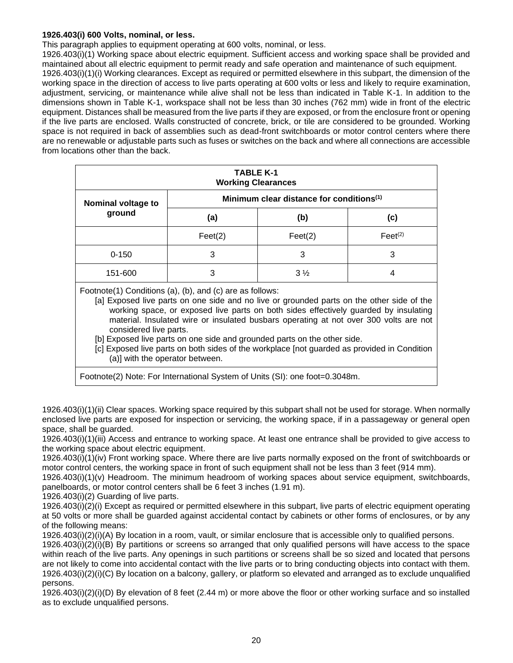#### <span id="page-19-0"></span>**1926.403(i) 600 Volts, nominal, or less.**

This paragraph applies to equipment operating at 600 volts, nominal, or less.

1926.403(i)(1) Working space about electric equipment. Sufficient access and working space shall be provided and maintained about all electric equipment to permit ready and safe operation and maintenance of such equipment. 1926.403(i)(1)(i) Working clearances. Except as required or permitted elsewhere in this subpart, the dimension of the working space in the direction of access to live parts operating at 600 volts or less and likely to require examination, adjustment, servicing, or maintenance while alive shall not be less than indicated in Table K-1. In addition to the dimensions shown in Table K-1, workspace shall not be less than 30 inches (762 mm) wide in front of the electric equipment. Distances shall be measured from the live parts if they are exposed, or from the enclosure front or opening if the live parts are enclosed. Walls constructed of concrete, brick, or tile are considered to be grounded. Working space is not required in back of assemblies such as dead-front switchboards or motor control centers where there are no renewable or adjustable parts such as fuses or switches on the back and where all connections are accessible from locations other than the back.

| <b>TABLE K-1</b><br><b>Working Clearances</b> |                                                      |                |                     |
|-----------------------------------------------|------------------------------------------------------|----------------|---------------------|
| <b>Nominal voltage to</b>                     | Minimum clear distance for conditions <sup>(1)</sup> |                |                     |
| ground                                        | (a)                                                  | (b)            | (c)                 |
|                                               | Feet(2)                                              | Feet(2)        | $\text{Feet}^{(2)}$ |
| $0 - 150$                                     | 3                                                    | 3              | 3                   |
| 151-600                                       | 3                                                    | $3\frac{1}{2}$ | 4                   |

Footnote(1) Conditions (a), (b), and (c) are as follows:

[a] Exposed live parts on one side and no live or grounded parts on the other side of the working space, or exposed live parts on both sides effectively guarded by insulating material. Insulated wire or insulated busbars operating at not over 300 volts are not considered live parts.

[b] Exposed live parts on one side and grounded parts on the other side.

[c] Exposed live parts on both sides of the workplace [not guarded as provided in Condition (a)] with the operator between.

Footnote(2) Note: For International System of Units (SI): one foot=0.3048m.

1926.403(i)(1)(ii) Clear spaces. Working space required by this subpart shall not be used for storage. When normally enclosed live parts are exposed for inspection or servicing, the working space, if in a passageway or general open space, shall be guarded.

1926.403(i)(1)(iii) Access and entrance to working space. At least one entrance shall be provided to give access to the working space about electric equipment.

1926.403(i)(1)(iv) Front working space. Where there are live parts normally exposed on the front of switchboards or motor control centers, the working space in front of such equipment shall not be less than 3 feet (914 mm).

1926.403(i)(1)(v) Headroom. The minimum headroom of working spaces about service equipment, switchboards, panelboards, or motor control centers shall be 6 feet 3 inches (1.91 m).

1926.403(i)(2) Guarding of live parts.

[1926.403\(i\)\(2\)\(i\) E](https://www.osha.gov/laws-regs/interlinking/standards/1926.403(i)(2)(i))xcept as required or permitted elsewhere in this subpart, live parts of electric equipment operating at 50 volts or more shall be guarded against accidental contact by cabinets or other forms of enclosures, or by any of the following means:

1926.403(i)(2)(i)(A) By location in a room, vault, or similar enclosure that is accessible only to qualified persons.

1926.403(i)(2)(i)(B) By partitions or screens so arranged that only qualified persons will have access to the space within reach of the live parts. Any openings in such partitions or screens shall be so sized and located that persons are not likely to come into accidental contact with the live parts or to bring conducting objects into contact with them. 1926.403(i)(2)(i)(C) By location on a balcony, gallery, or platform so elevated and arranged as to exclude unqualified persons.

1926.403(i)(2)(i)(D) By elevation of 8 feet (2.44 m) or more above the floor or other working surface and so installed as to exclude unqualified persons.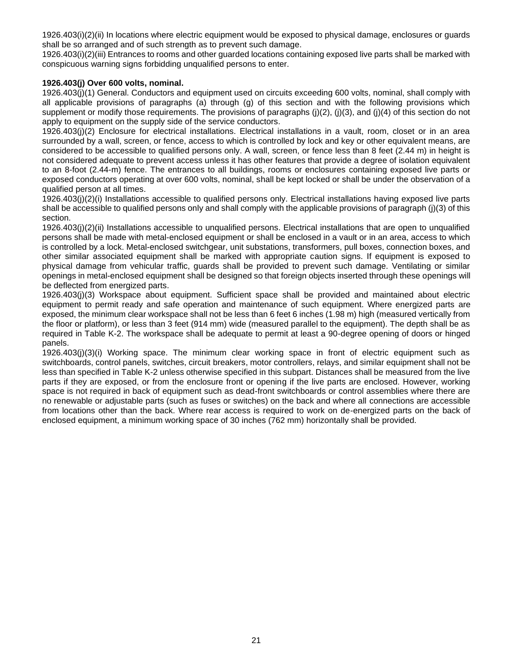1926.403(i)(2)(ii) In locations where electric equipment would be exposed to physical damage, enclosures or guards shall be so arranged and of such strength as to prevent such damage.

1926.403(i)(2)(iii) Entrances to rooms and other guarded locations containing exposed live parts shall be marked with conspicuous warning signs forbidding unqualified persons to enter.

#### <span id="page-20-0"></span>**1926.403(j) Over 600 volts, nominal.**

1926.403(j)(1) General. Conductors and equipment used on circuits exceeding 600 volts, nominal, shall comply with all applicable provisions of paragraphs (a) through (g) of this section and with the following provisions which supplement or modify those requirements. The provisions of paragraphs  $(i)(2)$ ,  $(i)(3)$ , and  $(i)(4)$  of this section do not apply to equipment on the supply side of the service conductors.

1926.403(j)(2) Enclosure for electrical installations. Electrical installations in a vault, room, closet or in an area surrounded by a wall, screen, or fence, access to which is controlled by lock and key or other equivalent means, are considered to be accessible to qualified persons only. A wall, screen, or fence less than 8 feet (2.44 m) in height is not considered adequate to prevent access unless it has other features that provide a degree of isolation equivalent to an 8-foot (2.44-m) fence. The entrances to all buildings, rooms or enclosures containing exposed live parts or exposed conductors operating at over 600 volts, nominal, shall be kept locked or shall be under the observation of a qualified person at all times.

1926.403(j)(2)(i) Installations accessible to qualified persons only. Electrical installations having exposed live parts shall be accessible to qualified persons only and shall comply with the applicable provisions of paragraph (j)(3) of this section.

1926.403(j)(2)(ii) Installations accessible to unqualified persons. Electrical installations that are open to unqualified persons shall be made with metal-enclosed equipment or shall be enclosed in a vault or in an area, access to which is controlled by a lock. Metal-enclosed switchgear, unit substations, transformers, pull boxes, connection boxes, and other similar associated equipment shall be marked with appropriate caution signs. If equipment is exposed to physical damage from vehicular traffic, guards shall be provided to prevent such damage. Ventilating or similar openings in metal-enclosed equipment shall be designed so that foreign objects inserted through these openings will be deflected from energized parts.

1926.403(j)(3) Workspace about equipment. Sufficient space shall be provided and maintained about electric equipment to permit ready and safe operation and maintenance of such equipment. Where energized parts are exposed, the minimum clear workspace shall not be less than 6 feet 6 inches (1.98 m) high (measured vertically from the floor or platform), or less than 3 feet (914 mm) wide (measured parallel to the equipment). The depth shall be as required in Table K-2. The workspace shall be adequate to permit at least a 90-degree opening of doors or hinged panels.

1926.403(j)(3)(i) Working space. The minimum clear working space in front of electric equipment such as switchboards, control panels, switches, circuit breakers, motor controllers, relays, and similar equipment shall not be less than specified in Table K-2 unless otherwise specified in this subpart. Distances shall be measured from the live parts if they are exposed, or from the enclosure front or opening if the live parts are enclosed. However, working space is not required in back of equipment such as dead-front switchboards or control assemblies where there are no renewable or adjustable parts (such as fuses or switches) on the back and where all connections are accessible from locations other than the back. Where rear access is required to work on de-energized parts on the back of enclosed equipment, a minimum working space of 30 inches (762 mm) horizontally shall be provided.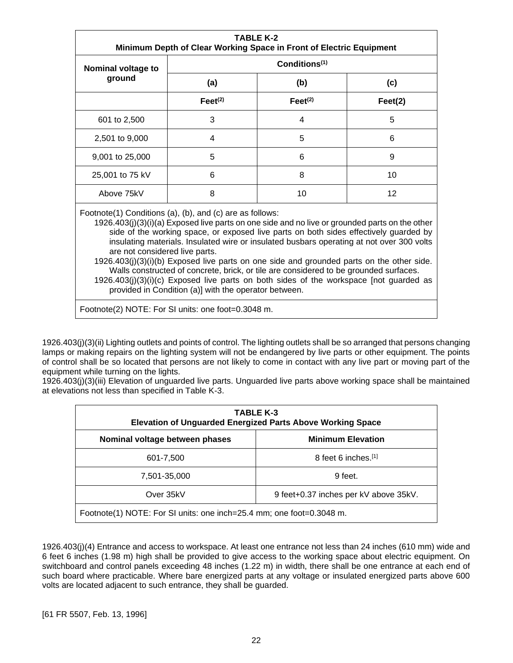| <b>TABLE K-2</b><br>Minimum Depth of Clear Working Space in Front of Electric Equipment                                                                                                                                                                                                                                                                                                                                                                                                                                                                                                                                                                                                                                         |                           |                       |         |
|---------------------------------------------------------------------------------------------------------------------------------------------------------------------------------------------------------------------------------------------------------------------------------------------------------------------------------------------------------------------------------------------------------------------------------------------------------------------------------------------------------------------------------------------------------------------------------------------------------------------------------------------------------------------------------------------------------------------------------|---------------------------|-----------------------|---------|
| Nominal voltage to                                                                                                                                                                                                                                                                                                                                                                                                                                                                                                                                                                                                                                                                                                              | Conditions <sup>(1)</sup> |                       |         |
| ground                                                                                                                                                                                                                                                                                                                                                                                                                                                                                                                                                                                                                                                                                                                          | (a)                       | (b)                   | (c)     |
|                                                                                                                                                                                                                                                                                                                                                                                                                                                                                                                                                                                                                                                                                                                                 | Feet <sup>(2)</sup>       | $\mathsf{Feet}^{(2)}$ | Feet(2) |
| 601 to 2,500                                                                                                                                                                                                                                                                                                                                                                                                                                                                                                                                                                                                                                                                                                                    | 3                         | 4                     | 5       |
| 2,501 to 9,000                                                                                                                                                                                                                                                                                                                                                                                                                                                                                                                                                                                                                                                                                                                  | 4                         | 5                     | 6       |
| 9,001 to 25,000                                                                                                                                                                                                                                                                                                                                                                                                                                                                                                                                                                                                                                                                                                                 | 5                         | 6                     | 9       |
| 25,001 to 75 kV                                                                                                                                                                                                                                                                                                                                                                                                                                                                                                                                                                                                                                                                                                                 | 6                         | 8                     | 10      |
| Above 75kV                                                                                                                                                                                                                                                                                                                                                                                                                                                                                                                                                                                                                                                                                                                      | 8                         | 10                    | 12      |
| Footnote(1) Conditions (a), (b), and (c) are as follows:<br>1926.403(j)(3)(i)(a) Exposed live parts on one side and no live or grounded parts on the other<br>side of the working space, or exposed live parts on both sides effectively guarded by<br>insulating materials. Insulated wire or insulated busbars operating at not over 300 volts<br>are not considered live parts.<br>$1926.403(j)(3)(i)(b)$ Exposed live parts on one side and grounded parts on the other side.<br>Walls constructed of concrete, brick, or tile are considered to be grounded surfaces.<br>$1926.403(j)(3)(i)(c)$ Exposed live parts on both sides of the workspace [not guarded as<br>provided in Condition (a)] with the operator between. |                           |                       |         |

Footnote(2) NOTE: For SI units: one foot=0.3048 m.

1926.403(j)(3)(ii) Lighting outlets and points of control. The lighting outlets shall be so arranged that persons changing lamps or making repairs on the lighting system will not be endangered by live parts or other equipment. The points of control shall be so located that persons are not likely to come in contact with any live part or moving part of the equipment while turning on the lights.

1926.403(j)(3)(iii) Elevation of unguarded live parts. Unguarded live parts above working space shall be maintained at elevations not less than specified in Table K-3.

| TABLE K-3<br><b>Elevation of Unguarded Energized Parts Above Working Space</b> |                          |  |  |
|--------------------------------------------------------------------------------|--------------------------|--|--|
| Nominal voltage between phases                                                 | <b>Minimum Elevation</b> |  |  |
| 601-7,500                                                                      | 8 feet 6 inches.[1]      |  |  |
| 7,501-35,000                                                                   | 9 feet.                  |  |  |
| Over 35kV<br>9 feet+0.37 inches per kV above 35kV.                             |                          |  |  |
| Footnote(1) NOTE: For SI units: one inch=25.4 mm; one foot=0.3048 m.           |                          |  |  |

1926.403(j)(4) Entrance and access to workspace. At least one entrance not less than 24 inches (610 mm) wide and 6 feet 6 inches (1.98 m) high shall be provided to give access to the working space about electric equipment. On switchboard and control panels exceeding 48 inches (1.22 m) in width, there shall be one entrance at each end of such board where practicable. Where bare energized parts at any voltage or insulated energized parts above 600 volts are located adjacent to such entrance, they shall be guarded.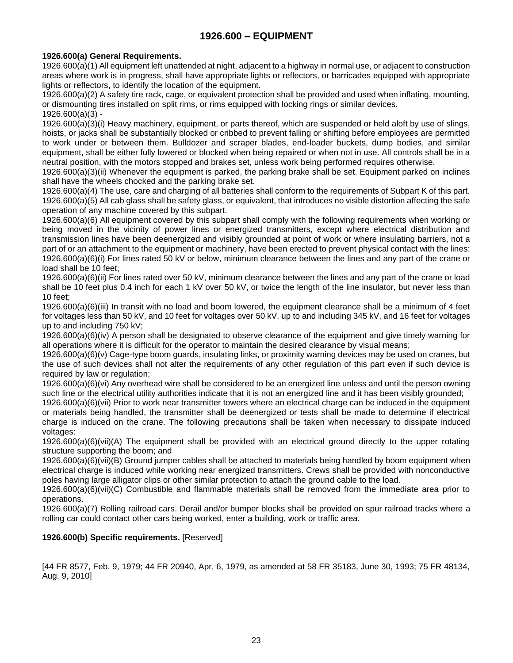# **1926.600 – EQUIPMENT**

# <span id="page-22-1"></span><span id="page-22-0"></span>**1926.600(a) General Requirements.**

1926.600(a)(1) All equipment left unattended at night, adjacent to a highway in normal use, or adjacent to construction areas where work is in progress, shall have appropriate lights or reflectors, or barricades equipped with appropriate lights or reflectors, to identify the location of the equipment.

1926.600(a)(2) A safety tire rack, cage, or equivalent protection shall be provided and used when inflating, mounting, or dismounting tires installed on split rims, or rims equipped with locking rings or similar devices. [1926.600\(a\)\(3\) -](https://www.osha.gov/laws-regs/interlinking/standards/1926.600(a)(3))

[1926.600\(a\)\(3\)\(i\) H](https://www.osha.gov/laws-regs/interlinking/standards/1926.600(a)(3)(i))eavy machinery, equipment, or parts thereof, which are suspended or held aloft by use of slings, hoists, or jacks shall be substantially blocked or cribbed to prevent falling or shifting before employees are permitted to work under or between them. Bulldozer and scraper blades, end-loader buckets, dump bodies, and similar equipment, shall be either fully lowered or blocked when being repaired or when not in use. All controls shall be in a neutral position, with the motors stopped and brakes set, unless work being performed requires otherwise.

[1926.600\(a\)\(3\)\(ii\) W](https://www.osha.gov/laws-regs/interlinking/standards/1926.600(a)(3)(ii))henever the equipment is parked, the parking brake shall be set. Equipment parked on inclines shall have the wheels chocked and the parking brake set.

1926.600(a)(4) The use, care and charging of all batteries shall conform to the requirements of Subpart K of this part. 1926.600(a)(5) All cab glass shall be safety glass, or equivalent, that introduces no visible distortion affecting the safe operation of any machine covered by this subpart.

[1926.600\(a\)\(6\) A](https://www.osha.gov/laws-regs/interlinking/standards/1926.600(a)(6))ll equipment covered by this subpart shall comply with the following requirements when working or being moved in the vicinity of power lines or energized transmitters, except where electrical distribution and transmission lines have been deenergized and visibly grounded at point of work or where insulating barriers, not a part of or an attachment to the equipment or machinery, have been erected to prevent physical contact with the lines: 1926.600(a)(6)(i) For lines rated 50 kV or below, minimum clearance between the lines and any part of the crane or load shall be 10 feet;

1926.600(a)(6)(ii) For lines rated over 50 kV, minimum clearance between the lines and any part of the crane or load shall be 10 feet plus 0.4 inch for each 1 kV over 50 kV, or twice the length of the line insulator, but never less than 10 feet;

1926.600(a)(6)(iii) In transit with no load and boom lowered, the equipment clearance shall be a minimum of 4 feet for voltages less than 50 kV, and 10 feet for voltages over 50 kV, up to and including 345 kV, and 16 feet for voltages up to and including 750 kV;

1926.600(a)(6)(iv) A person shall be designated to observe clearance of the equipment and give timely warning for all operations where it is difficult for the operator to maintain the desired clearance by visual means;

1926.600(a)(6)(v) Cage-type boom guards, insulating links, or proximity warning devices may be used on cranes, but the use of such devices shall not alter the requirements of any other regulation of this part even if such device is required by law or regulation;

1926.600(a)(6)(vi) Any overhead wire shall be considered to be an energized line unless and until the person owning such line or the electrical utility authorities indicate that it is not an energized line and it has been visibly grounded;

1926.600(a)(6)(vii) Prior to work near transmitter towers where an electrical charge can be induced in the equipment or materials being handled, the transmitter shall be deenergized or tests shall be made to determine if electrical charge is induced on the crane. The following precautions shall be taken when necessary to dissipate induced voltages:

1926.600(a)(6)(vii)(A) The equipment shall be provided with an electrical ground directly to the upper rotating structure supporting the boom; and

1926.600(a)(6)(vii)(B) Ground jumper cables shall be attached to materials being handled by boom equipment when electrical charge is induced while working near energized transmitters. Crews shall be provided with nonconductive poles having large alligator clips or other similar protection to attach the ground cable to the load.

1926.600(a)(6)(vii)(C) Combustible and flammable materials shall be removed from the immediate area prior to operations.

1926.600(a)(7) Rolling railroad cars. Derail and/or bumper blocks shall be provided on spur railroad tracks where a rolling car could contact other cars being worked, enter a building, work or traffic area.

# **1926.600(b) Specific requirements.** [Reserved]

[44 FR 8577, Feb. 9, 1979; 44 FR 20940, Apr, 6, 1979, as amended at 58 FR 35183, June 30, 1993; 75 FR 48134, Aug. 9, 2010]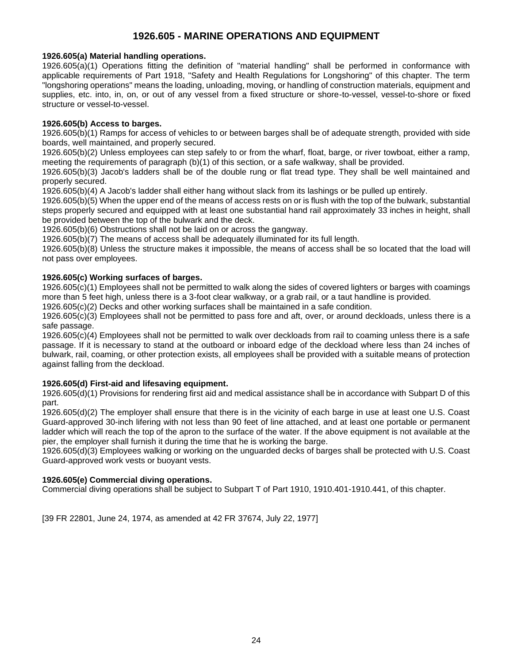# **1926.605 - MARINE OPERATIONS AND EQUIPMENT**

#### <span id="page-23-1"></span><span id="page-23-0"></span>**[1926.605\(a\) M](https://www.osha.gov/laws-regs/interlinking/standards/1926.605(a))aterial handling operations.**

[1926.605\(a\)\(1\) O](https://www.osha.gov/laws-regs/interlinking/standards/1926.605(a)(1))perations fitting the definition of "material handling" shall be performed in conformance with applicable requirements of Part 1918, "Safety and Health Regulations for Longshoring" of this chapter. The term "longshoring operations" means the loading, unloading, moving, or handling of construction materials, equipment and supplies, etc. into, in, on, or out of any vessel from a fixed structure or shore-to-vessel, vessel-to-shore or fixed structure or vessel-to-vessel.

#### <span id="page-23-2"></span>**1926.605(b) Access to barges.**

1926.605(b)(1) Ramps for access of vehicles to or between barges shall be of adequate strength, provided with side boards, well maintained, and properly secured.

1926.605(b)(2) Unless employees can step safely to or from the wharf, float, barge, or river towboat, either a ramp, meeting the requirements of paragraph (b)(1) of this section, or a safe walkway, shall be provided.

1926.605(b)(3) Jacob's ladders shall be of the double rung or flat tread type. They shall be well maintained and properly secured.

1926.605(b)(4) A Jacob's ladder shall either hang without slack from its lashings or be pulled up entirely.

1926.605(b)(5) When the upper end of the means of access rests on or is flush with the top of the bulwark, substantial steps properly secured and equipped with at least one substantial hand rail approximately 33 inches in height, shall be provided between the top of the bulwark and the deck.

1926.605(b)(6) Obstructions shall not be laid on or across the gangway.

1926.605(b)(7) The means of access shall be adequately illuminated for its full length.

1926.605(b)(8) Unless the structure makes it impossible, the means of access shall be so located that the load will not pass over employees.

# <span id="page-23-3"></span>**1926.605(c) Working surfaces of barges.**

1926.605(c)(1) Employees shall not be permitted to walk along the sides of covered lighters or barges with coamings more than 5 feet high, unless there is a 3-foot clear walkway, or a grab rail, or a taut handline is provided.

1926.605(c)(2) Decks and other working surfaces shall be maintained in a safe condition.

1926.605(c)(3) Employees shall not be permitted to pass fore and aft, over, or around deckloads, unless there is a safe passage.

1926.605(c)(4) Employees shall not be permitted to walk over deckloads from rail to coaming unless there is a safe passage. If it is necessary to stand at the outboard or inboard edge of the deckload where less than 24 inches of bulwark, rail, coaming, or other protection exists, all employees shall be provided with a suitable means of protection against falling from the deckload.

# <span id="page-23-4"></span>**1926.605(d) First-aid and lifesaving equipment.**

[1926.605\(d\)\(1\) P](https://www.osha.gov/laws-regs/interlinking/standards/1926.605(d)(1))rovisions for rendering first aid and medical assistance shall be in accordance with Subpart D of this part.

1926.605(d)(2) The employer shall ensure that there is in the vicinity of each barge in use at least one U.S. Coast Guard-approved 30-inch lifering with not less than 90 feet of line attached, and at least one portable or permanent ladder which will reach the top of the apron to the surface of the water. If the above equipment is not available at the pier, the employer shall furnish it during the time that he is working the barge.

1926.605(d)(3) Employees walking or working on the unguarded decks of barges shall be protected with U.S. Coast Guard-approved work vests or buoyant vests.

#### <span id="page-23-5"></span>**1926.605(e) Commercial diving operations.**

Commercial diving operations shall be subject to Subpart T of Part 1910, 1910.401-1910.441, of this chapter.

[39 FR 22801, June 24, 1974, as amended at 42 FR 37674, July 22, 1977]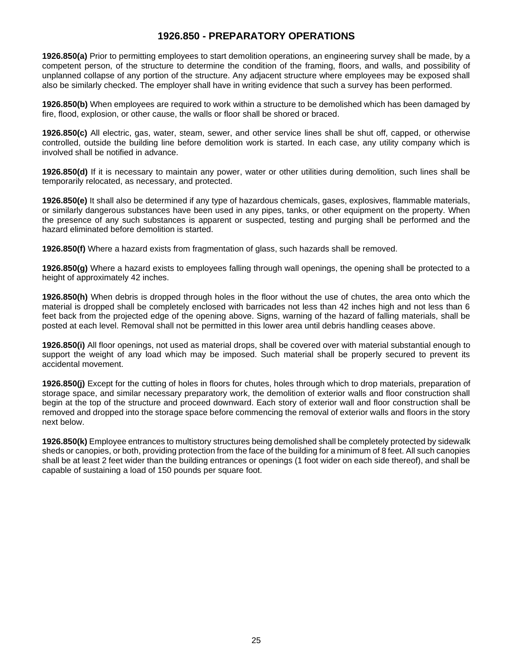# **1926.850 - PREPARATORY OPERATIONS**

<span id="page-24-0"></span>**[1926.850\(a\)](https://www.osha.gov/laws-regs/interlinking/standards/1926.850(a))** Prior to permitting employees to start demolition operations, an engineering survey shall be made, by a competent person, of the structure to determine the condition of the framing, floors, and walls, and possibility of unplanned collapse of any portion of the structure. Any adjacent structure where employees may be exposed shall also be similarly checked. The employer shall have in writing evidence that such a survey has been performed.

**1926.850(b)** When employees are required to work within a structure to be demolished which has been damaged by fire, flood, explosion, or other cause, the walls or floor shall be shored or braced.

**1926.850(c)** All electric, gas, water, steam, sewer, and other service lines shall be shut off, capped, or otherwise controlled, outside the building line before demolition work is started. In each case, any utility company which is involved shall be notified in advance.

**1926.850(d)** If it is necessary to maintain any power, water or other utilities during demolition, such lines shall be temporarily relocated, as necessary, and protected.

**1926.850(e)** It shall also be determined if any type of hazardous chemicals, gases, explosives, flammable materials, or similarly dangerous substances have been used in any pipes, tanks, or other equipment on the property. When the presence of any such substances is apparent or suspected, testing and purging shall be performed and the hazard eliminated before demolition is started.

**1926.850(f)** Where a hazard exists from fragmentation of glass, such hazards shall be removed.

**1926.850(g)** Where a hazard exists to employees falling through wall openings, the opening shall be protected to a height of approximately 42 inches.

**1926.850(h)** When debris is dropped through holes in the floor without the use of chutes, the area onto which the material is dropped shall be completely enclosed with barricades not less than 42 inches high and not less than 6 feet back from the projected edge of the opening above. Signs, warning of the hazard of falling materials, shall be posted at each level. Removal shall not be permitted in this lower area until debris handling ceases above.

**1926.850(i)** All floor openings, not used as material drops, shall be covered over with material substantial enough to support the weight of any load which may be imposed. Such material shall be properly secured to prevent its accidental movement.

**1926.850(j)** Except for the cutting of holes in floors for chutes, holes through which to drop materials, preparation of storage space, and similar necessary preparatory work, the demolition of exterior walls and floor construction shall begin at the top of the structure and proceed downward. Each story of exterior wall and floor construction shall be removed and dropped into the storage space before commencing the removal of exterior walls and floors in the story next below.

**1926.850(k)** Employee entrances to multistory structures being demolished shall be completely protected by sidewalk sheds or canopies, or both, providing protection from the face of the building for a minimum of 8 feet. All such canopies shall be at least 2 feet wider than the building entrances or openings (1 foot wider on each side thereof), and shall be capable of sustaining a load of 150 pounds per square foot.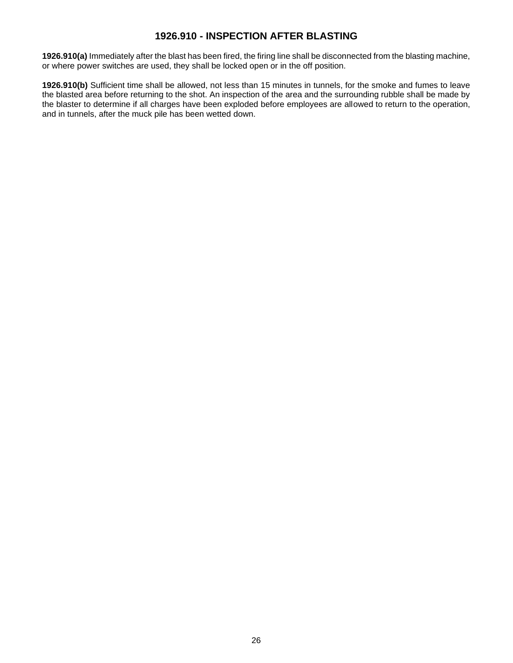# **1926.910 - INSPECTION AFTER BLASTING**

<span id="page-25-0"></span>**1926.910(a)** Immediately after the blast has been fired, the firing line shall be disconnected from the blasting machine, or where power switches are used, they shall be locked open or in the off position.

**1926.910(b)** Sufficient time shall be allowed, not less than 15 minutes in tunnels, for the smoke and fumes to leave the blasted area before returning to the shot. An inspection of the area and the surrounding rubble shall be made by the blaster to determine if all charges have been exploded before employees are allowed to return to the operation, and in tunnels, after the muck pile has been wetted down.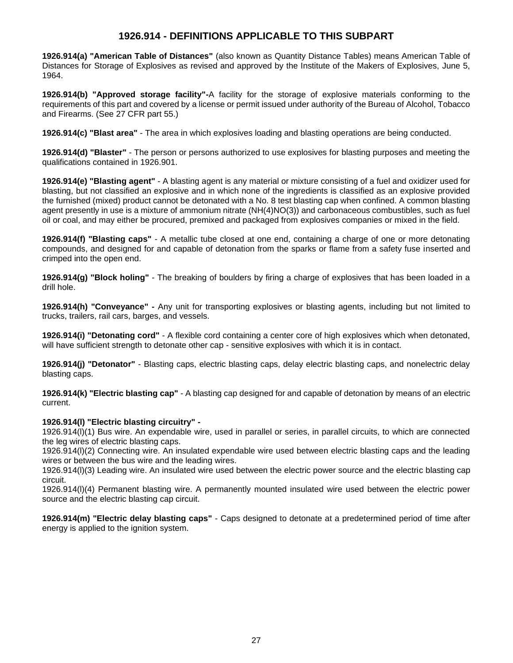# **1926.914 - DEFINITIONS APPLICABLE TO THIS SUBPART**

<span id="page-26-0"></span>**1926.914(a) "American Table of Distances"** (also known as Quantity Distance Tables) means American Table of Distances for Storage of Explosives as revised and approved by the Institute of the Makers of Explosives, June 5, 1964.

**1926.914(b) "Approved storage facility"-**A facility for the storage of explosive materials conforming to the requirements of this part and covered by a license or permit issued under authority of the Bureau of Alcohol, Tobacco and Firearms. (See 27 CFR part 55.)

**1926.914(c) "Blast area"** - The area in which explosives loading and blasting operations are being conducted.

**1926.914(d) "Blaster"** - The person or persons authorized to use explosives for blasting purposes and meeting the qualifications contained in 1926.901.

**1926.914(e) "Blasting agent"** - A blasting agent is any material or mixture consisting of a fuel and oxidizer used for blasting, but not classified an explosive and in which none of the ingredients is classified as an explosive provided the furnished (mixed) product cannot be detonated with a No. 8 test blasting cap when confined. A common blasting agent presently in use is a mixture of ammonium nitrate (NH(4)NO(3)) and carbonaceous combustibles, such as fuel oil or coal, and may either be procured, premixed and packaged from explosives companies or mixed in the field.

**1926.914(f) "Blasting caps"** - A metallic tube closed at one end, containing a charge of one or more detonating compounds, and designed for and capable of detonation from the sparks or flame from a safety fuse inserted and crimped into the open end.

**1926.914(g) "Block holing"** - The breaking of boulders by firing a charge of explosives that has been loaded in a drill hole.

**1926.914(h) "Conveyance" -** Any unit for transporting explosives or blasting agents, including but not limited to trucks, trailers, rail cars, barges, and vessels.

**1926.914(i) "Detonating cord"** - A flexible cord containing a center core of high explosives which when detonated, will have sufficient strength to detonate other cap - sensitive explosives with which it is in contact.

**1926.914(j) "Detonator"** - Blasting caps, electric blasting caps, delay electric blasting caps, and nonelectric delay blasting caps.

**1926.914(k) "Electric blasting cap"** - A blasting cap designed for and capable of detonation by means of an electric current.

# **1926.914(l) "Electric blasting circuitry" -**

1926.914(l)(1) Bus wire. An expendable wire, used in parallel or series, in parallel circuits, to which are connected the leg wires of electric blasting caps.

1926.914(l)(2) Connecting wire. An insulated expendable wire used between electric blasting caps and the leading wires or between the bus wire and the leading wires.

1926.914(l)(3) Leading wire. An insulated wire used between the electric power source and the electric blasting cap circuit.

1926.914(l)(4) Permanent blasting wire. A permanently mounted insulated wire used between the electric power source and the electric blasting cap circuit.

**1926.914(m) "Electric delay blasting caps"** - Caps designed to detonate at a predetermined period of time after energy is applied to the ignition system.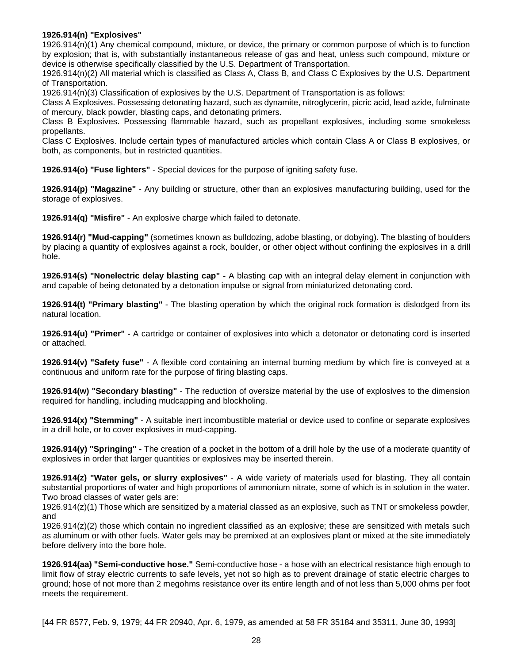#### **1926.914(n) "Explosives"**

1926.914(n)(1) Any chemical compound, mixture, or device, the primary or common purpose of which is to function by explosion; that is, with substantially instantaneous release of gas and heat, unless such compound, mixture or device is otherwise specifically classified by the U.S. Department of Transportation.

1926.914(n)(2) All material which is classified as Class A, Class B, and Class C Explosives by the U.S. Department of Transportation.

1926.914(n)(3) Classification of explosives by the U.S. Department of Transportation is as follows:

Class A Explosives. Possessing detonating hazard, such as dynamite, nitroglycerin, picric acid, lead azide, fulminate of mercury, black powder, blasting caps, and detonating primers.

Class B Explosives. Possessing flammable hazard, such as propellant explosives, including some smokeless propellants.

Class C Explosives. Include certain types of manufactured articles which contain Class A or Class B explosives, or both, as components, but in restricted quantities.

**1926.914(o) "Fuse lighters"** - Special devices for the purpose of igniting safety fuse.

**1926.914(p) "Magazine"** - Any building or structure, other than an explosives manufacturing building, used for the storage of explosives.

**1926.914(q) "Misfire"** - An explosive charge which failed to detonate.

**1926.914(r) "Mud-capping"** (sometimes known as bulldozing, adobe blasting, or dobying). The blasting of boulders by placing a quantity of explosives against a rock, boulder, or other object without confining the explosives in a drill hole.

**1926.914(s) "Nonelectric delay blasting cap" -** A blasting cap with an integral delay element in conjunction with and capable of being detonated by a detonation impulse or signal from miniaturized detonating cord.

**1926.914(t) "Primary blasting"** - The blasting operation by which the original rock formation is dislodged from its natural location.

**1926.914(u) "Primer" -** A cartridge or container of explosives into which a detonator or detonating cord is inserted or attached.

**1926.914(v) "Safety fuse"** - A flexible cord containing an internal burning medium by which fire is conveyed at a continuous and uniform rate for the purpose of firing blasting caps.

**1926.914(w) "Secondary blasting"** - The reduction of oversize material by the use of explosives to the dimension required for handling, including mudcapping and blockholing.

**1926.914(x) "Stemming"** - A suitable inert incombustible material or device used to confine or separate explosives in a drill hole, or to cover explosives in mud-capping.

**1926.914(y) "Springing" -** The creation of a pocket in the bottom of a drill hole by the use of a moderate quantity of explosives in order that larger quantities or explosives may be inserted therein.

**1926.914(z) "Water gels, or slurry explosives"** - A wide variety of materials used for blasting. They all contain substantial proportions of water and high proportions of ammonium nitrate, some of which is in solution in the water. Two broad classes of water gels are:

1926.914(z)(1) Those which are sensitized by a material classed as an explosive, such as TNT or smokeless powder, and

1926.914(z)(2) those which contain no ingredient classified as an explosive; these are sensitized with metals such as aluminum or with other fuels. Water gels may be premixed at an explosives plant or mixed at the site immediately before delivery into the bore hole.

**1926.914(aa) "Semi-conductive hose."** Semi-conductive hose - a hose with an electrical resistance high enough to limit flow of stray electric currents to safe levels, yet not so high as to prevent drainage of static electric charges to ground; hose of not more than 2 megohms resistance over its entire length and of not less than 5,000 ohms per foot meets the requirement.

[44 FR 8577, Feb. 9, 1979; 44 FR 20940, Apr. 6, 1979, as amended at 58 FR 35184 and 35311, June 30, 1993]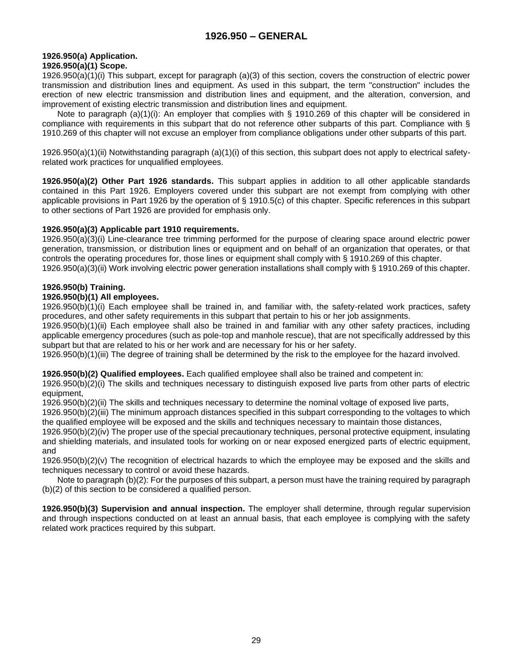# <span id="page-28-1"></span><span id="page-28-0"></span>**1926.950(a) Application.**

# **1926.950(a)(1) Scope.**

1926.950(a)(1)(i) This subpart, except for paragraph (a)(3) of this section, covers the construction of electric power transmission and distribution lines and equipment. As used in this subpart, the term "construction" includes the erection of new electric transmission and distribution lines and equipment, and the alteration, conversion, and improvement of existing electric transmission and distribution lines and equipment.

Note to paragraph (a)(1)(i): An employer that complies with § 1910.269 of this chapter will be considered in compliance with requirements in this subpart that do not reference other subparts of this part. Compliance with § 1910.269 of this chapter will not excuse an employer from compliance obligations under other subparts of this part.

1926.950(a)(1)(ii) Notwithstanding paragraph (a)(1)(i) of this section, this subpart does not apply to electrical safetyrelated work practices for unqualified employees.

**1926.950(a)(2) Other Part 1926 standards.** This subpart applies in addition to all other applicable standards contained in this Part 1926. Employers covered under this subpart are not exempt from complying with other applicable provisions in Part 1926 by the operation of § 1910.5(c) of this chapter. Specific references in this subpart to other sections of Part 1926 are provided for emphasis only.

#### **1926.950(a)(3) Applicable part 1910 requirements.**

1926.950(a)(3)(i) Line-clearance tree trimming performed for the purpose of clearing space around electric power generation, transmission, or distribution lines or equipment and on behalf of an organization that operates, or that controls the operating procedures for, those lines or equipment shall comply with § 1910.269 of this chapter. 1926.950(a)(3)(ii) Work involving electric power generation installations shall comply with § 1910.269 of this chapter.

# <span id="page-28-2"></span>**1926.950(b) Training.**

# **[1926.950\(b\)\(1\) A](https://www.osha.gov/laws-regs/interlinking/standards/1926.950(b)(1))ll employees.**

[1926.950\(b\)\(1\)\(i\) E](https://www.osha.gov/laws-regs/interlinking/standards/1926.950(b)(1)(i))ach employee shall be trained in, and familiar with, the safety-related work practices, safety procedures, and other safety requirements in this subpart that pertain to his or her job assignments.

1926.950(b)(1)(ii) Each employee shall also be trained in and familiar with any other safety practices, including applicable emergency procedures (such as pole-top and manhole rescue), that are not specifically addressed by this subpart but that are related to his or her work and are necessary for his or her safety.

[1926.950\(b\)\(1\)\(iii\) T](https://www.osha.gov/laws-regs/interlinking/standards/1926.950(b)(1)(iii))he degree of training shall be determined by the risk to the employee for the hazard involved.

**1926.950(b)(2) Qualified employees.** Each qualified employee shall also be trained and competent in:

[1926.950\(b\)\(2\)\(i\) T](https://www.osha.gov/laws-regs/interlinking/standards/1926.950(b)(2)(i))he skills and techniques necessary to distinguish exposed live parts from other parts of electric equipment,

[1926.950\(b\)\(2\)\(ii\) T](https://www.osha.gov/laws-regs/interlinking/standards/1926.950(b)(2)(ii))he skills and techniques necessary to determine the nominal voltage of exposed live parts,

[1926.950\(b\)\(2\)\(iii\) T](https://www.osha.gov/laws-regs/interlinking/standards/1926.950(b)(2)(iii))he minimum approach distances specified in this subpart corresponding to the voltages to which the qualified employee will be exposed and the skills and techniques necessary to maintain those distances,

[1926.950\(b\)\(2\)\(iv\) T](https://www.osha.gov/laws-regs/interlinking/standards/1926.950(b)(2)(iv))he proper use of the special precautionary techniques, personal protective equipment, insulating and shielding materials, and insulated tools for working on or near exposed energized parts of electric equipment, and

[1926.950\(b\)\(2\)\(v\) T](https://www.osha.gov/laws-regs/interlinking/standards/1926.950(b)(2)(v))he recognition of electrical hazards to which the employee may be exposed and the skills and techniques necessary to control or avoid these hazards.

Note to paragraph (b)(2): For the purposes of this subpart, a person must have the training required by paragraph (b)(2) of this section to be considered a qualified person.

**1926.950(b)(3) Supervision and annual inspection.** The employer shall determine, through regular supervision and through inspections conducted on at least an annual basis, that each employee is complying with the safety related work practices required by this subpart.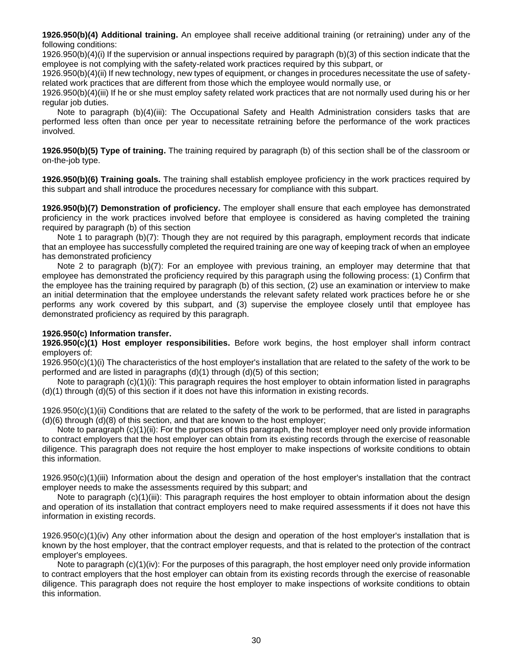**1926.950(b)(4) Additional training.** An employee shall receive additional training (or retraining) under any of the following conditions:

1926.950(b)(4)(i) If the supervision or annual inspections required by paragraph (b)(3) of this section indicate that the employee is not complying with the safety-related work practices required by this subpart, or

1926.950(b)(4)(ii) If new technology, new types of equipment, or changes in procedures necessitate the use of safetyrelated work practices that are different from those which the employee would normally use, or

[1926.950\(b\)\(4\)\(iii\) I](https://www.osha.gov/laws-regs/interlinking/standards/1926.950(b)(4)(iii))f he or she must employ safety related work practices that are not normally used during his or her regular job duties.

Note to paragraph (b)(4)(iii): The Occupational Safety and Health Administration considers tasks that are performed less often than once per year to necessitate retraining before the performance of the work practices involved.

**[1926.950\(b\)\(5\) T](https://www.osha.gov/laws-regs/interlinking/standards/1926.950(b)(5))ype of training.** The training required by paragraph (b) of this section shall be of the classroom or on-the-job type.

**[1926.950\(b\)\(6\) T](https://www.osha.gov/laws-regs/interlinking/standards/1926.950(b)(6))raining goals.** The training shall establish employee proficiency in the work practices required by this subpart and shall introduce the procedures necessary for compliance with this subpart.

**[1926.950\(b\)\(7\) D](https://www.osha.gov/laws-regs/interlinking/standards/1926.950(b)(7))emonstration of proficiency.** The employer shall ensure that each employee has demonstrated proficiency in the work practices involved before that employee is considered as having completed the training required by paragraph (b) of this section

Note 1 to paragraph (b)(7): Though they are not required by this paragraph, employment records that indicate that an employee has successfully completed the required training are one way of keeping track of when an employee has demonstrated proficiency

Note 2 to paragraph (b)(7): For an employee with previous training, an employer may determine that that employee has demonstrated the proficiency required by this paragraph using the following process: (1) Confirm that the employee has the training required by paragraph (b) of this section, (2) use an examination or interview to make an initial determination that the employee understands the relevant safety related work practices before he or she performs any work covered by this subpart, and (3) supervise the employee closely until that employee has demonstrated proficiency as required by this paragraph.

#### <span id="page-29-0"></span>**[1926.950\(c\) I](https://www.osha.gov/laws-regs/interlinking/standards/1926.950(c))nformation transfer.**

**[1926.950\(c\)\(1\) H](https://www.osha.gov/laws-regs/interlinking/standards/1926.950(c)(1))ost employer responsibilities.** Before work begins, the host employer shall inform contract employers of:

[1926.950\(c\)\(1\)\(i\) T](https://www.osha.gov/laws-regs/interlinking/standards/1926.950(c)(1)(i))he characteristics of the host employer's installation that are related to the safety of the work to be performed and are listed in paragraphs (d)(1) through (d)(5) of this section;

Note to paragraph (c)(1)(i): This paragraph requires the host employer to obtain information listed in paragraphs (d)(1) through (d)(5) of this section if it does not have this information in existing records.

 $1926.950(c)(1)(ii)$  Conditions that are related to the safety of the work to be performed, that are listed in paragraphs  $(d)(6)$  through  $(d)(8)$  of this section, and that are known to the host employer;

Note to paragraph (c)(1)(ii): For the purposes of this paragraph, the host employer need only provide information to contract employers that the host employer can obtain from its existing records through the exercise of reasonable diligence. This paragraph does not require the host employer to make inspections of worksite conditions to obtain this information.

[1926.950\(c\)\(1\)\(iii\) I](https://www.osha.gov/laws-regs/interlinking/standards/1926.950(c)(1)(iii))nformation about the design and operation of the host employer's installation that the contract employer needs to make the assessments required by this subpart; and

Note to paragraph (c)(1)(iii): This paragraph requires the host employer to obtain information about the design and operation of its installation that contract employers need to make required assessments if it does not have this information in existing records.

1926.950(c)(1)(iv) Any other information about the design and operation of the host employer's installation that is known by the host employer, that the contract employer requests, and that is related to the protection of the contract employer's employees.

Note to paragraph (c)(1)(iv): For the purposes of this paragraph, the host employer need only provide information to contract employers that the host employer can obtain from its existing records through the exercise of reasonable diligence. This paragraph does not require the host employer to make inspections of worksite conditions to obtain this information.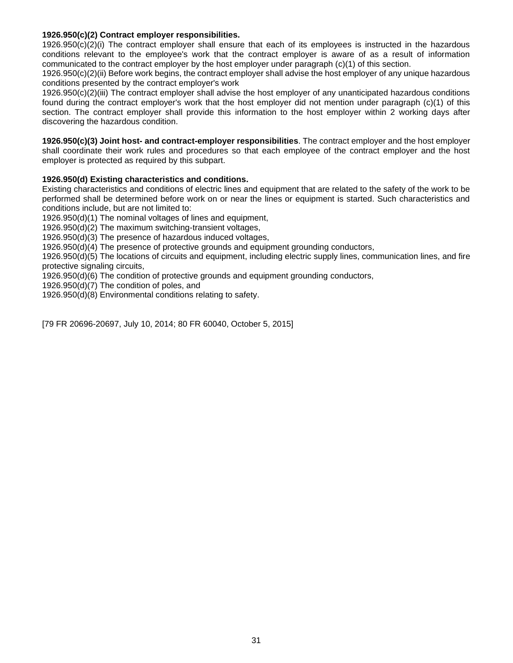#### **[1926.950\(c\)\(2\) C](https://www.osha.gov/laws-regs/interlinking/standards/1926.950(c)(2))ontract employer responsibilities.**

1926.950(c)(2)(i) The contract employer shall ensure that each of its employees is instructed in the hazardous conditions relevant to the employee's work that the contract employer is aware of as a result of information communicated to the contract employer by the host employer under paragraph (c)(1) of this section.

1926.950(c)(2)(ii) Before work begins, the contract employer shall advise the host employer of any unique hazardous conditions presented by the contract employer's work

[1926.950\(c\)\(2\)\(iii\) T](https://www.osha.gov/laws-regs/interlinking/standards/1926.950(c)(2)(iii))he contract employer shall advise the host employer of any unanticipated hazardous conditions found during the contract employer's work that the host employer did not mention under paragraph (c)(1) of this section. The contract employer shall provide this information to the host employer within 2 working days after discovering the hazardous condition.

**[1926.950\(c\)\(3\) J](https://www.osha.gov/laws-regs/interlinking/standards/1926.950(c)(3))oint host- and contract-employer responsibilities**. The contract employer and the host employer shall coordinate their work rules and procedures so that each employee of the contract employer and the host employer is protected as required by this subpart.

# <span id="page-30-0"></span>**[1926.950\(d\) E](https://www.osha.gov/laws-regs/interlinking/standards/1926.950(d))xisting characteristics and conditions.**

Existing characteristics and conditions of electric lines and equipment that are related to the safety of the work to be performed shall be determined before work on or near the lines or equipment is started. Such characteristics and conditions include, but are not limited to:

[1926.950\(d\)\(1\) T](https://www.osha.gov/laws-regs/interlinking/standards/1926.950(d)(1))he nominal voltages of lines and equipment,

[1926.950\(d\)\(2\) T](https://www.osha.gov/laws-regs/interlinking/standards/1926.950(d)(2))he maximum switching-transient voltages,

[1926.950\(d\)\(3\) T](https://www.osha.gov/laws-regs/interlinking/standards/1926.950(d)(3))he presence of hazardous induced voltages,

[1926.950\(d\)\(4\) T](https://www.osha.gov/laws-regs/interlinking/standards/1926.950(d)(4))he presence of protective grounds and equipment grounding conductors,

[1926.950\(d\)\(5\) T](https://www.osha.gov/laws-regs/interlinking/standards/1926.950(d)(5))he locations of circuits and equipment, including electric supply lines, communication lines, and fire protective signaling circuits,

[1926.950\(d\)\(6\) T](https://www.osha.gov/laws-regs/interlinking/standards/1926.950(d)(6))he condition of protective grounds and equipment grounding conductors,

[1926.950\(d\)\(7\) T](https://www.osha.gov/laws-regs/interlinking/standards/1926.950(d)(7))he condition of poles, and

[1926.950\(d\)\(8\) E](https://www.osha.gov/laws-regs/interlinking/standards/1926.950(d)(8))nvironmental conditions relating to safety.

[79 FR 20696-20697, July 10, 2014; 80 FR 60040, October 5, 2015]